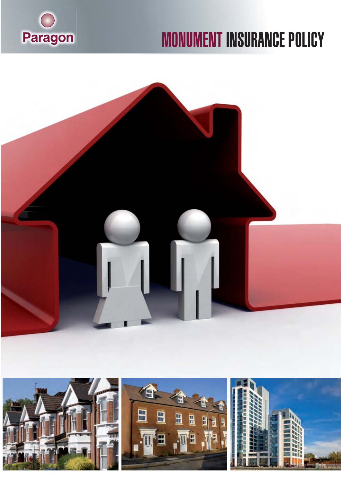

# **MONUMENT INSURANCE POLICY**



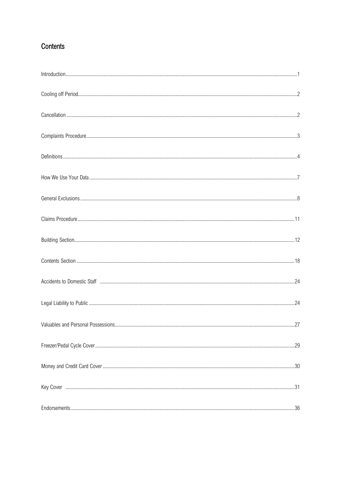# Contents

| Valuables and Personal Possessions | .27 |
|------------------------------------|-----|
|                                    |     |
|                                    |     |
|                                    |     |
|                                    |     |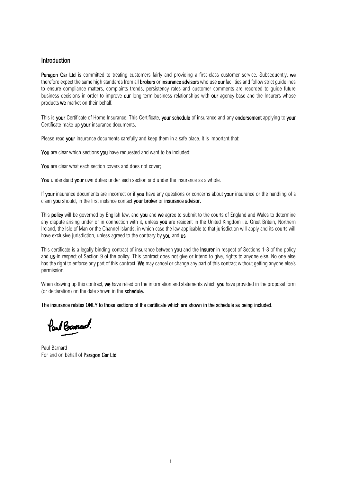## Introduction

Paragon Car Ltd is committed to treating customers fairly and providing a first-class customer service. Subsequently, we therefore expect the same high standards from all **brokers** or insurance advisors who use our facilities and follow strict quidelines to ensure compliance matters, complaints trends, persistency rates and customer comments are recorded to guide future business decisions in order to improve our long term business relationships with our agency base and the Insurers whose products we market on their behalf.

This is your Certificate of Home Insurance. This Certificate, your schedule of insurance and any endorsement applying to your Certificate make up your insurance documents.

Please read your insurance documents carefully and keep them in a safe place. It is important that:

You are clear which sections you have requested and want to be included;

You are clear what each section covers and does not cover;

You understand vour own duties under each section and under the insurance as a whole.

If your insurance documents are incorrect or if you have any questions or concerns about your insurance or the handling of a claim you should, in the first instance contact your broker or insurance advisor.

This policy will be governed by English law, and you and we agree to submit to the courts of England and Wales to determine any dispute arising under or in connection with it, unless you are resident in the United Kingdom i.e. Great Britain, Northern Ireland, the Isle of Man or the Channel Islands, in which case the law applicable to that jurisdiction will apply and its courts will have exclusive jurisdiction, unless agreed to the contrary by you and us.

This certificate is a legally binding contract of insurance between you and the Insurer in respect of Sections 1-8 of the policy and us-in respect of Section 9 of the policy. This contract does not give or intend to give, rights to anyone else. No one else has the right to enforce any part of this contract. We may cancel or change any part of this contract without getting anyone else's permission.

When drawing up this contract, we have relied on the information and statements which you have provided in the proposal form (or declaration) on the date shown in the schedule.

The insurance relates ONLY to those sections of the certificate which are shown in the schedule as being included.

Paul Barnerd.

Paul Barnard For and on behalf of Paragon Car Ltd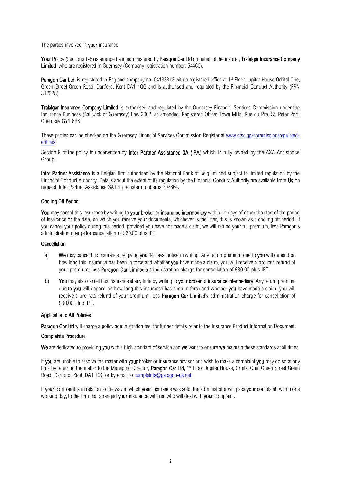The parties involved in your insurance

Your Policy (Sections 1-8) is arranged and administered by Paragon Car Ltd on behalf of the insurer, Trafalgar Insurance Company Limited, who are registered in Guernsey (Company registration number: 54460).

Paragon Car Ltd. is registered in England company no. 04133312 with a registered office at 1<sup>st</sup> Floor Jupiter House Orbital One, Green Street Green Road, Dartford, Kent DA1 1QG and is authorised and regulated by the Financial Conduct Authority (FRN 312028).

Trafalgar Insurance Company Limited is authorised and regulated by the Guernsey Financial Services Commission under the Insurance Business (Bailiwick of Guernsey) Law 2002, as amended. Registered Office: Town Mills, Rue du Pre, St. Peter Port, Guernsey GY1 6HS.

These parties can be checked on the Guernsey Financial Services Commission Register at [www.gfsc.gg/commission/regulated](http://www.gfsc.gg/commission/regulated-entities)[entities.](http://www.gfsc.gg/commission/regulated-entities)

Section 9 of the policy is underwritten by **Inter Partner Assistance SA (IPA)** which is fully owned by the AXA Assistance Group.

Inter Partner Assistance is a Belgian firm authorised by the National Bank of Belgium and subject to limited regulation by the Financial Conduct Authority. Details about the extent of its regulation by the Financial Conduct Authority are available from Us on request. Inter Partner Assistance SA firm register number is 202664.

## Cooling Off Period

You may cancel this insurance by writing to your broker or insurance intermediary within 14 days of either the start of the period of insurance or the date, on which you receive your documents, whichever is the later, this is known as a cooling off period. If you cancel your policy during this period, provided you have not made a claim, we will refund your full premium, less Paragon's administration charge for cancellation of £30.00 plus IPT.

## Cancellation

- a) We may cancel this insurance by giving you 14 days' notice in writing. Any return premium due to you will depend on how long this insurance has been in force and whether you have made a claim, you will receive a pro rata refund of your premium, less Paragon Car Limited's administration charge for cancellation of £30.00 plus IPT.
- b) You may also cancel this insurance at any time by writing to your broker or insurance intermediary. Any return premium due to vou will depend on how long this insurance has been in force and whether you have made a claim, you will receive a pro rata refund of your premium, less Paragon Car Limited's administration charge for cancellation of £30.00 plus IPT.

#### Applicable to All Policies

Paragon Car Ltd will charge a policy administration fee, for further details refer to the Insurance Product Information Document.

#### Complaints Procedure

We are dedicated to providing you with a high standard of service and we want to ensure we maintain these standards at all times.

If you are unable to resolve the matter with your broker or insurance advisor and wish to make a complaint you may do so at any time by referring the matter to the Managing Director, Paragon Car Ltd, 1<sup>st</sup> Floor Jupiter House, Orbital One, Green Street Green Road, Dartford, Kent, DA1 1QG or by email t[o complaints@paragon-uk.net](mailto:complaints@paragon-uk.net)

If your complaint is in relation to the way in which your insurance was sold, the administrator will pass your complaint, within one working day, to the firm that arranged your insurance with us; who will deal with your complaint.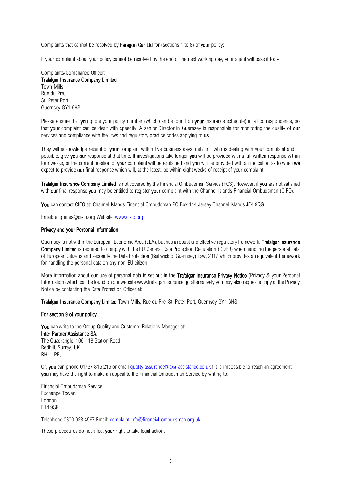Complaints that cannot be resolved by **Paragon Car Ltd** for (sections 1 to 8) of your policy:

If your complaint about your policy cannot be resolved by the end of the next working day, your agent will pass it to: -

Complaints/Compliance Officer: Trafalgar Insurance Company Limited Town Mills, Rue du Pre, St. Peter Port, Guernsey GY1 6HS

Please ensure that you quote your policy number (which can be found on your insurance schedule) in all correspondence, so that your complaint can be dealt with speedily. A senior Director in Guernsey is responsible for monitoring the quality of our services and compliance with the laws and regulatory practice codes applying to **us.** 

They will acknowledge receipt of **your** complaint within five business days, detailing who is dealing with your complaint and, if possible, give you our response at that time. If investigations take longer you will be provided with a full written response within four weeks, or the current position of your complaint will be explained and you will be provided with an indication as to when we expect to provide our final response which will, at the latest, be within eight weeks of receipt of your complaint.

Trafalgar Insurance Company Limited is not covered by the Financial Ombudsman Service (FOS). However, if you are not satisfied with our final response you may be entitled to register your complaint with the Channel Islands Financial Ombudsman (CIFO).

You can contact CIFO at: Channel Islands Financial Ombudsman PO Box 114 Jersey Channel Islands JE4 9QG

Email: enquiries@ci-fo.org Website: [www.ci-fo.org](http://www.ci-fo.org/)

#### Privacy and your Personal Information

Guernsey is not within the European Economic Area (EEA), but has a robust and effective regulatory framework. Trafalgar Insurance Company Limited is required to comply with the EU General Data Protection Requlation (GDPR) when handling the personal data of European Citizens and secondly the Data Protection (Bailiwick of Guernsey) Law, 2017 which provides an equivalent framework for handling the personal data on any non-EU citizen.

More information about our use of personal data is set out in the Trafalgar Insurance Privacy Notice (Privacy & your Personal Information) which can be found on our websit[e www.trafalgarinsurance.gg](http://www.trafalgarinsurance.gg/) alternatively you may also request a copy of the Privacy Notice by contacting the Data Protection Officer at:

Trafalgar Insurance Company Limited Town Mills, Rue du Pre, St. Peter Port, Guernsey GY1 6HS.

#### For section 9 of your policy

You can write to the Group Quality and Customer Relations Manager at: Inter Partner Assistance SA, The Quadrangle, 106-118 Station Road, Redhill, Surrey, UK RH1 1PR,

Or, you can phone 01737 815 215 or email [quality.assurance@axa-assistance.co.ukIf](mailto:quality.assurance@axa-assistance.co.uk) it is impossible to reach an agreement, you may have the right to make an appeal to the Financial Ombudsman Service by writing to:

Financial Ombudsman Service Exchange Tower, London E14 9SR.

Telephone 0800 023 4567 Email[: complaint.info@financial-ombudsman.org.uk](mailto:complaint.info@financial-ombudsman.org.uk)

These procedures do not affect your right to take legal action.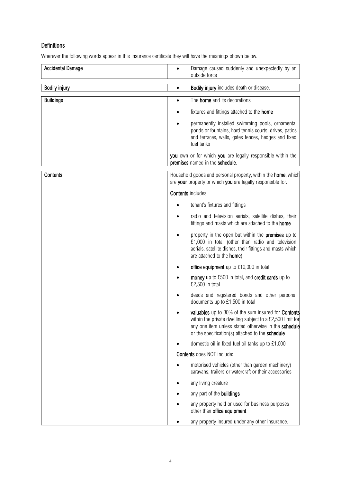# Definitions

Wherever the following words appear in this insurance certificate they will have the meanings shown below.

| <b>Accidental Damage</b> | Damage caused suddenly and unexpectedly by an<br>outside force                                                                                                                                                               |
|--------------------------|------------------------------------------------------------------------------------------------------------------------------------------------------------------------------------------------------------------------------|
| <b>Bodily injury</b>     | Bodily injury includes death or disease.                                                                                                                                                                                     |
| <b>Buildings</b>         | The <b>home</b> and its decorations<br>$\bullet$                                                                                                                                                                             |
|                          | fixtures and fittings attached to the home                                                                                                                                                                                   |
|                          | permanently installed swimming pools, ornamental<br>ponds or fountains, hard tennis courts, drives, patios<br>and terraces, walls, gates fences, hedges and fixed<br>fuel tanks                                              |
|                          | you own or for which you are legally responsible within the<br>premises named in the schedule.                                                                                                                               |
| <b>Contents</b>          | Household goods and personal property, within the <b>home</b> , which<br>are your property or which you are legally responsible for.                                                                                         |
|                          | <b>Contents includes:</b>                                                                                                                                                                                                    |
|                          | tenant's fixtures and fittings                                                                                                                                                                                               |
|                          | radio and television aerials, satellite dishes, their<br>fittings and masts which are attached to the home                                                                                                                   |
|                          | property in the open but within the <b>premises</b> up to<br>£1,000 in total (other than radio and television<br>aerials, satellite dishes, their fittings and masts which<br>are attached to the home)                      |
|                          | office equipment up to £10,000 in total                                                                                                                                                                                      |
|                          | money up to £500 in total, and credit cards up to<br>£2,500 in total                                                                                                                                                         |
|                          | deeds and registered bonds and other personal<br>documents up to £1,500 in total                                                                                                                                             |
|                          | valuables up to 30% of the sum insured for Contents<br>within the private dwelling subject to a £2,500 limit for<br>any one item unless stated otherwise in the schedule<br>or the specification(s) attached to the schedule |
|                          | domestic oil in fixed fuel oil tanks up to £1,000                                                                                                                                                                            |
|                          | <b>Contents</b> does NOT include:                                                                                                                                                                                            |
|                          | motorised vehicles (other than garden machinery)<br>caravans, trailers or watercraft or their accessories                                                                                                                    |
|                          | any living creature                                                                                                                                                                                                          |
|                          | any part of the <b>buildings</b>                                                                                                                                                                                             |
|                          | any property held or used for business purposes<br>other than office equipment                                                                                                                                               |
|                          | any property insured under any other insurance.                                                                                                                                                                              |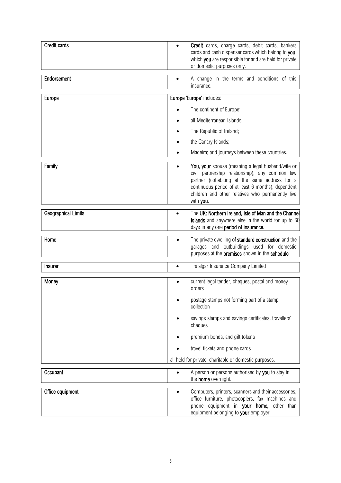| <b>Credit cards</b>        | Credit cards, charge cards, debit cards, bankers<br>cards and cash dispenser cards which belong to you,<br>which you are responsible for and are held for private<br>or domestic purposes only.                                                                                            |
|----------------------------|--------------------------------------------------------------------------------------------------------------------------------------------------------------------------------------------------------------------------------------------------------------------------------------------|
| Endorsement                | A change in the terms and conditions of this<br>insurance.                                                                                                                                                                                                                                 |
| Europe                     | Europe 'Europe' includes:<br>The continent of Europe;<br>all Mediterranean Islands;<br>The Republic of Ireland;                                                                                                                                                                            |
|                            | the Canary Islands;<br>Madeira; and journeys between these countries.                                                                                                                                                                                                                      |
| Family                     | You, your spouse (meaning a legal husband/wife or<br>$\bullet$<br>civil partnership relationship), any common law<br>partner (cohabiting at the same address for a<br>continuous period of at least 6 months), dependent<br>children and other relatives who permanently live<br>with you. |
| <b>Geographical Limits</b> | The UK: Northern Ireland, Isle of Man and the Channel<br>$\bullet$<br>Islands and anywhere else in the world for up to 60<br>days in any one period of insurance.                                                                                                                          |
| Home                       | The private dwelling of standard construction and the<br>garages and outbuildings used for domestic<br>purposes at the premises shown in the schedule.                                                                                                                                     |
| <b>Insurer</b>             | Trafalgar Insurance Company Limited<br>$\bullet$                                                                                                                                                                                                                                           |
| Money                      | current legal tender, cheques, postal and money<br>$\bullet$<br>orders<br>postage stamps not forming part of a stamp<br>collection                                                                                                                                                         |
|                            | savings stamps and savings certificates, travellers'<br>cheques                                                                                                                                                                                                                            |
|                            | premium bonds, and gift tokens                                                                                                                                                                                                                                                             |
|                            | travel tickets and phone cards                                                                                                                                                                                                                                                             |
|                            | all held for private, charitable or domestic purposes.                                                                                                                                                                                                                                     |
| Occupant                   | A person or persons authorised by you to stay in<br>$\bullet$<br>the home overnight.                                                                                                                                                                                                       |
| Office equipment           | Computers, printers, scanners and their accessories,<br>office furniture, photocopiers, fax machines and<br>phone equipment in your home, other than<br>equipment belonging to your employer.                                                                                              |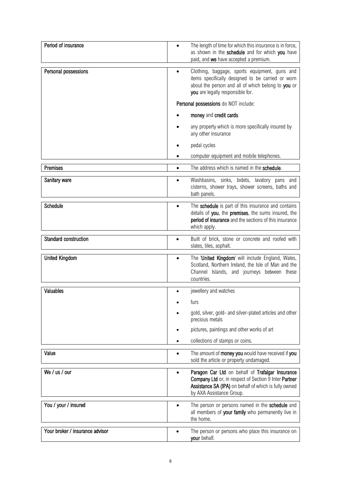| Period of insurance             | The length of time for which this insurance is in force,<br>as shown in the schedule and for which you have<br>paid, and we have accepted a premium.                                                        |
|---------------------------------|-------------------------------------------------------------------------------------------------------------------------------------------------------------------------------------------------------------|
| Personal possessions            | Clothing, baggage, sports equipment, guns and<br>$\bullet$<br>items specifically designed to be carried or worn<br>about the person and all of which belong to you or<br>you are legally responsible for.   |
|                                 | Personal possessions do NOT include:                                                                                                                                                                        |
|                                 | money and credit cards                                                                                                                                                                                      |
|                                 | any property which is more specifically insured by<br>any other insurance                                                                                                                                   |
|                                 | pedal cycles                                                                                                                                                                                                |
|                                 | computer equipment and mobile telephones.                                                                                                                                                                   |
| Premises                        | The address which is named in the schedule.<br>$\bullet$                                                                                                                                                    |
| Sanitary ware                   | Washbasins, sinks, bidets, lavatory pans and<br>$\bullet$<br>cisterns, shower trays, shower screens, baths and<br>bath panels.                                                                              |
| <b>Schedule</b>                 | The schedule is part of this insurance and contains<br>$\bullet$<br>details of you, the premises, the sums insured, the<br>period of insurance and the sections of this insurance<br>which apply.           |
| Standard construction           | Built of brick, stone or concrete and roofed with<br>slates, tiles, asphalt.                                                                                                                                |
| <b>United Kingdom</b>           | The 'United Kingdom' will include England, Wales,<br>$\bullet$<br>Scotland, Northern Ireland, the Isle of Man and the<br>Channel Islands, and journeys between these<br>countries.                          |
| Valuables                       | jewellery and watches                                                                                                                                                                                       |
|                                 | furs                                                                                                                                                                                                        |
|                                 | gold, silver, gold- and silver-plated articles and other<br>precious metals                                                                                                                                 |
|                                 | pictures, paintings and other works of art                                                                                                                                                                  |
|                                 | collections of stamps or coins.                                                                                                                                                                             |
| Value                           | The amount of money you would have received if you<br>$\bullet$<br>sold the article or property undamaged.                                                                                                  |
| We / us / our                   | Paragon Car Ltd on behalf of Trafalgar Insurance<br>$\bullet$<br>Company Ltd or, in respect of Section 9 Inter Partner<br>Assistance SA (IPA) on behalf of which is fully owned<br>by AXA Assistance Group. |
| You / your / insured            | The person or persons named in the schedule and<br>$\bullet$<br>all members of your family who permanently live in<br>the home.                                                                             |
| Your broker / insurance advisor | The person or persons who place this insurance on<br>your behalf.                                                                                                                                           |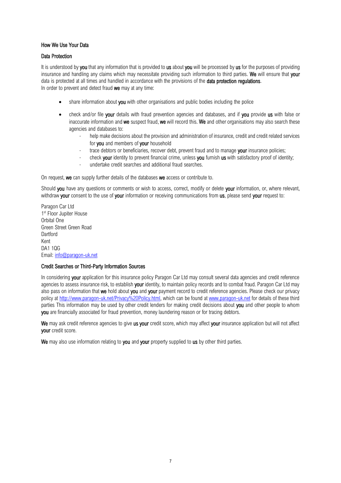## How We Use Your Data

## Data Protection

It is understood by you that any information that is provided to us about you will be processed by us for the purposes of providing insurance and handling any claims which may necessitate providing such information to third parties. We will ensure that your data is protected at all times and handled in accordance with the provisions of the **data protection requlations**. In order to prevent and detect fraud we may at any time:

- share information about you with other organisations and public bodies including the police
- check and/or file your details with fraud prevention agencies and databases, and if you provide us with false or inaccurate information and we suspect fraud, we will record this. We and other organisations may also search these agencies and databases to:
	- help make decisions about the provision and administration of insurance, credit and credit related services for you and members of your household
	- trace debtors or beneficiaries, recover debt, prevent fraud and to manage your insurance policies;
	- check your identity to prevent financial crime, unless you furnish us with satisfactory proof of identity;
	- undertake credit searches and additional fraud searches.

On request, we can supply further details of the databases we access or contribute to.

Should you have any questions or comments or wish to access, correct, modify or delete your information, or, where relevant, withdraw your consent to the use of your information or receiving communications from us, please send your request to:

Paragon Car Ltd 1st Floor Jupiter House Orbital One Green Street Green Road **Dartford** Kent DA1 1QG Email[: info@paragon-uk.net](mailto:info@paragon-uk.net)

#### Credit Searches or Third-Party Information Sources

In considering your application for this insurance policy Paragon Car Ltd may consult several data agencies and credit reference agencies to assess insurance risk, to establish your identity, to maintain policy records and to combat fraud. Paragon Car Ltd may also pass on information that we hold about you and yo[ur p](https://www.vigilis.co.uk/legal-stuff/#privacy)ayment record to credit reference agencies. Please check our privacy policy at<http://www.paragon-uk.net/Privacy%20Policy.html>[,](https://www.vigilis.co.uk/legal-stuff/#privacy) which can be found [at](http://www.vigilis.co.uk/) [www.paragon-uk.net](http://www.paragon-uk.net/privacy%20Policy.html) for details of these third parties This information may be used by other credit lenders for making credit decisions about you and other people to whom **vou** are financially associated for fraud prevention, money laundering reason or for tracing debtors.

We may ask credit reference agencies to give us your credit score, which may affect your insurance application but will not affect your credit score.

We may also use information relating to you and your property supplied to us by other third parties.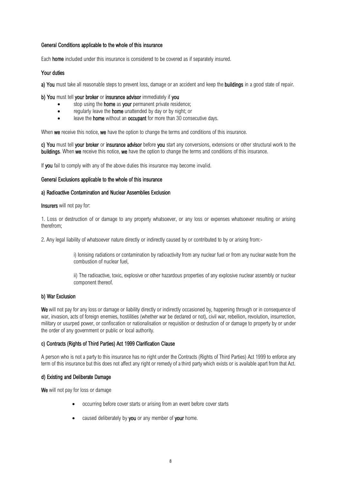## General Conditions applicable to the whole of this insurance

Each home included under this insurance is considered to be covered as if separately insured.

## Your duties

a) You must take all reasonable steps to prevent loss, damage or an accident and keep the buildings in a good state of repair.

## b) You must tell your broker or insurance advisor immediately if you

- stop using the **home** as your permanent private residence;
- regularly leave the **home** unattended by day or by night; or
- leave the **home** without an **occupant** for more than 30 consecutive days.

When we receive this notice, we have the option to change the terms and conditions of this insurance.

c) You must tell your broker or insurance advisor before you start any conversions, extensions or other structural work to the **buildings.** When we receive this notice, we have the option to change the terms and conditions of this insurance.

If you fail to comply with any of the above duties this insurance may become invalid.

## General Exclusions applicable to the whole of this insurance

## a) Radioactive Contamination and Nuclear Assemblies Exclusion

Insurers will not pay for:

1. Loss or destruction of or damage to any property whatsoever, or any loss or expenses whatsoever resulting or arising therefrom;

2. Any legal liability of whatsoever nature directly or indirectly caused by or contributed to by or arising from:-

i) Ionising radiations or contamination by radioactivity from any nuclear fuel or from any nuclear waste from the combustion of nuclear fuel,

ii) The radioactive, toxic, explosive or other hazardous properties of any explosive nuclear assembly or nuclear component thereof.

## b) War Exclusion

We will not pay for any loss or damage or liability directly or indirectly occasioned by, happening through or in consequence of war, invasion, acts of foreign enemies, hostilities (whether war be declared or not), civil war, rebellion, revolution, insurrection, military or usurped power, or confiscation or nationalisation or requisition or destruction of or damage to property by or under the order of any government or public or local authority.

## c) Contracts (Rights of Third Parties) Act 1999 Clarification Clause

A person who is not a party to this insurance has no right under the Contracts (Rights of Third Parties) Act 1999 to enforce any term of this insurance but this does not affect any right or remedy of a third party which exists or is available apart from that Act.

## d) Existing and Deliberate Damage

We will not pay for loss or damage

- occurring before cover starts or arising from an event before cover starts
- caused deliberately by you or any member of your home.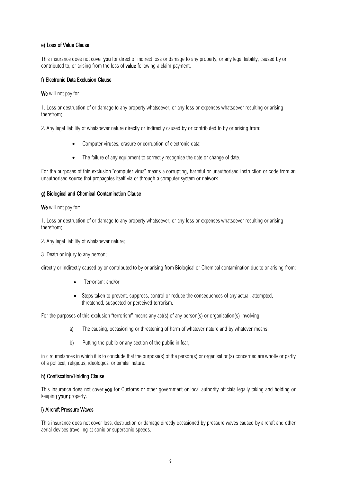## e) Loss of Value Clause

This insurance does not cover you for direct or indirect loss or damage to any property, or any legal liability, caused by or contributed to, or arising from the loss of value following a claim payment.

## f) Electronic Data Exclusion Clause

We will not pay for

1. Loss or destruction of or damage to any property whatsoever, or any loss or expenses whatsoever resulting or arising therefrom;

2. Any legal liability of whatsoever nature directly or indirectly caused by or contributed to by or arising from:

- Computer viruses, erasure or corruption of electronic data;
- The failure of any equipment to correctly recognise the date or change of date.

For the purposes of this exclusion "computer virus" means a corrupting, harmful or unauthorised instruction or code from an unauthorised source that propagates itself via or through a computer system or network.

## g) Biological and Chemical Contamination Clause

We will not pay for:

1. Loss or destruction of or damage to any property whatsoever, or any loss or expenses whatsoever resulting or arising therefrom;

2. Any legal liability of whatsoever nature;

3. Death or injury to any person;

directly or indirectly caused by or contributed to by or arising from Biological or Chemical contamination due to or arising from;

- Terrorism; and/or
- Steps taken to prevent, suppress, control or reduce the consequences of any actual, attempted, threatened, suspected or perceived terrorism.

For the purposes of this exclusion "terrorism" means any act(s) of any person(s) or organisation(s) involving:

- a) The causing, occasioning or threatening of harm of whatever nature and by whatever means;
- b) Putting the public or any section of the public in fear,

in circumstances in which it is to conclude that the purpose(s) of the person(s) or organisation(s) concerned are wholly or partly of a political, religious, ideological or similar nature.

#### h) Confiscation/Holding Clause

This insurance does not cover **you** for Customs or other government or local authority officials legally taking and holding or keeping your property.

#### i) Aircraft Pressure Waves

This insurance does not cover loss, destruction or damage directly occasioned by pressure waves caused by aircraft and other aerial devices travelling at sonic or supersonic speeds.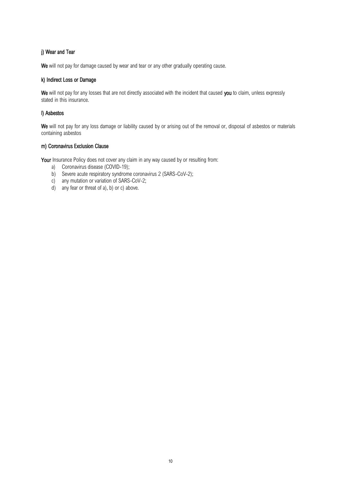## j) Wear and Tear

We will not pay for damage caused by wear and tear or any other gradually operating cause.

## k) Indirect Loss or Damage

We will not pay for any losses that are not directly associated with the incident that caused you to claim, unless expressly stated in this insurance.

## l) Asbestos

We will not pay for any loss damage or liability caused by or arising out of the removal or, disposal of asbestos or materials containing asbestos

## m) Coronavirus Exclusion Clause

Your Insurance Policy does not cover any claim in any way caused by or resulting from:

- a) Coronavirus disease (COVID-19);
- b) Severe acute respiratory syndrome coronavirus 2 (SARS-CoV-2);
- c) any mutation or variation of SARS-CoV-2;
- d) any fear or threat of a), b) or c) above.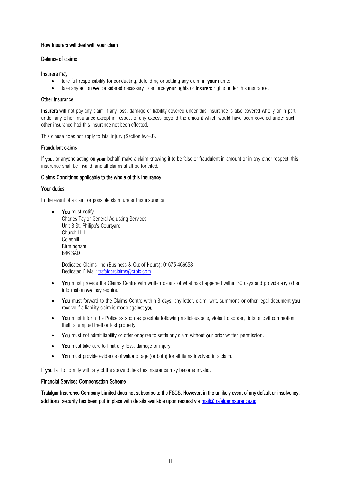## How Insurers will deal with your claim

#### Defence of claims

Insurers may:

- take full responsibility for conducting, defending or settling any claim in your name;
- take any action we considered necessary to enforce your rights or Insurers rights under this insurance.

## Other insurance

Insurers will not pay any claim if any loss, damage or liability covered under this insurance is also covered wholly or in part under any other insurance except in respect of any excess beyond the amount which would have been covered under such other insurance had this insurance not been effected.

This clause does not apply to fatal injury (Section two-J).

## Fraudulent claims

If you, or anyone acting on your behalf, make a claim knowing it to be false or fraudulent in amount or in any other respect, this insurance shall be invalid, and all claims shall be forfeited.

## Claims Conditions applicable to the whole of this insurance

## Your duties

In the event of a claim or possible claim under this insurance

• You must notify: Charles Taylor General Adjusting Services Unit 3 St. Philipp's Courtyard, Church Hill, Coleshill, Birmingham, B46 3AD

Dedicated Claims line (Business & Out of Hours): 01675 466558 Dedicated E Mail: [trafalgarclaims@ctplc.com](mailto:trafalgarclaims@ctplc.com)

- You must provide the Claims Centre with written details of what has happened within 30 days and provide any other information we may require.
- You must forward to the Claims Centre within 3 days, any letter, claim, writ, summons or other legal document you receive if a liability claim is made against you.
- You must inform the Police as soon as possible following malicious acts, violent disorder, riots or civil commotion, theft, attempted theft or lost property.
- You must not admit liability or offer or agree to settle any claim without our prior written permission.
- You must take care to limit any loss, damage or injury.
- You must provide evidence of value or age (or both) for all items involved in a claim.

If you fail to comply with any of the above duties this insurance may become invalid.

#### Financial Services Compensation Scheme

Trafalgar Insurance Company Limited does not subscribe to the FSCS. However, in the unlikely event of any default or insolvency, additional security has been put in place with details available upon request via mail@trafalgarinsurance.gg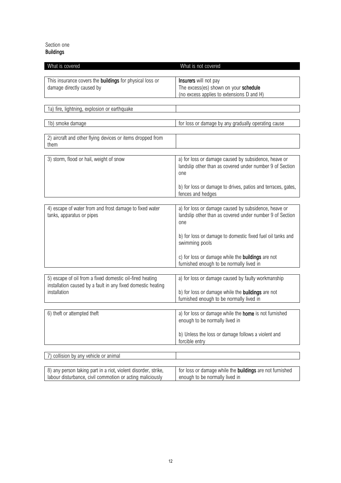## Section one Buildings

| What is covered                                                                              | What is not covered                                                                                                     |
|----------------------------------------------------------------------------------------------|-------------------------------------------------------------------------------------------------------------------------|
| This insurance covers the <b>buildings</b> for physical loss or<br>damage directly caused by | Insurers will not pay<br>The excess(es) shown on your schedule<br>(no excess applies to extensions D and H)             |
| 1a) fire, lightning, explosion or earthquake                                                 |                                                                                                                         |
|                                                                                              |                                                                                                                         |
| 1b) smoke damage                                                                             | for loss or damage by any gradually operating cause                                                                     |
| 2) aircraft and other flying devices or items dropped from<br>them                           |                                                                                                                         |
| 3) storm, flood or hail, weight of snow                                                      | a) for loss or damage caused by subsidence, heave or<br>landslip other than as covered under number 9 of Section<br>one |
|                                                                                              | b) for loss or damage to drives, patios and terraces, gates,<br>fences and hedges                                       |
| 4) escape of water from and frost damage to fixed water                                      | a) for loss or damage caused by subsidence, heave or                                                                    |
| tanks, apparatus or pipes                                                                    | landslip other than as covered under number 9 of Section<br>one                                                         |
|                                                                                              | b) for loss or damage to domestic fixed fuel oil tanks and<br>swimming pools                                            |
|                                                                                              | c) for loss or damage while the <b>buildings</b> are not<br>furnished enough to be normally lived in                    |
| 5) escape of oil from a fixed domestic oil-fired heating                                     | a) for loss or damage caused by faulty workmanship                                                                      |
| installation caused by a fault in any fixed domestic heating                                 |                                                                                                                         |
| installation                                                                                 | b) for loss or damage while the <b>buildings</b> are not<br>furnished enough to be normally lived in                    |
|                                                                                              |                                                                                                                         |
| 6) theft or attempted theft                                                                  | a) for loss or damage while the <b>home</b> is not furnished<br>enough to be normally lived in                          |
|                                                                                              | b) Unless the loss or damage follows a violent and<br>forcible entry                                                    |
|                                                                                              |                                                                                                                         |
| collision by any vehicle or animal                                                           |                                                                                                                         |

| 8) any person taking part in a riot, violent disorder, strike, | for loss or damage while the <b>buildings</b> are not furnished |
|----------------------------------------------------------------|-----------------------------------------------------------------|
| labour disturbance, civil commotion or acting maliciously      | enough to be normally lived in                                  |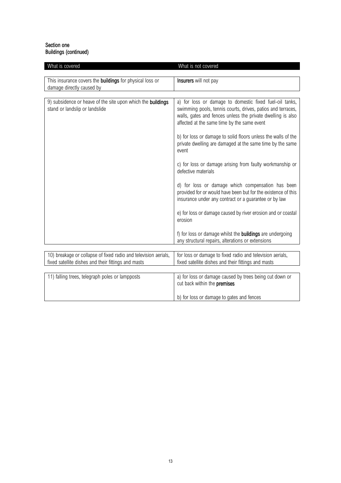## Section one Buildings (continued)

| What is covered                                                                                                        | What is not covered                                                                                                                                                                                                                  |
|------------------------------------------------------------------------------------------------------------------------|--------------------------------------------------------------------------------------------------------------------------------------------------------------------------------------------------------------------------------------|
| This insurance covers the <b>buildings</b> for physical loss or<br>damage directly caused by                           | Insurers will not pay                                                                                                                                                                                                                |
| 9) subsidence or heave of the site upon which the buildings<br>stand or landslip or landslide                          | a) for loss or damage to domestic fixed fuel-oil tanks,<br>swimming pools, tennis courts, drives, patios and terraces,<br>walls, gates and fences unless the private dwelling is also<br>affected at the same time by the same event |
|                                                                                                                        | b) for loss or damage to solid floors unless the walls of the<br>private dwelling are damaged at the same time by the same<br>event                                                                                                  |
|                                                                                                                        | c) for loss or damage arising from faulty workmanship or<br>defective materials                                                                                                                                                      |
|                                                                                                                        | d) for loss or damage which compensation has been<br>provided for or would have been but for the existence of this<br>insurance under any contract or a guarantee or by law                                                          |
|                                                                                                                        | e) for loss or damage caused by river erosion and or coastal<br>erosion                                                                                                                                                              |
|                                                                                                                        | f) for loss or damage whilst the <b>buildings</b> are undergoing<br>any structural repairs, alterations or extensions                                                                                                                |
|                                                                                                                        |                                                                                                                                                                                                                                      |
| 10) breakage or collapse of fixed radio and television aerials,<br>fixed satellite dishes and their fittings and masts | for loss or damage to fixed radio and television aerials,<br>fixed satellite dishes and their fittings and masts                                                                                                                     |
|                                                                                                                        |                                                                                                                                                                                                                                      |
| 11) falling trees, telegraph poles or lampposts                                                                        | a) for loss or damage caused by trees being cut down or<br>cut back within the premises                                                                                                                                              |
|                                                                                                                        | b) for loss or damage to gates and fences                                                                                                                                                                                            |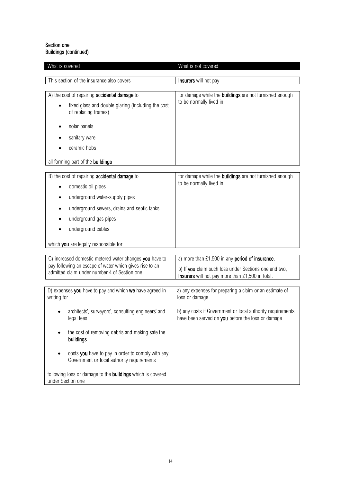## Section one Buildings (continued)

| What is covered                                                                                 | What is not covered                                                                                             |
|-------------------------------------------------------------------------------------------------|-----------------------------------------------------------------------------------------------------------------|
| This section of the insurance also covers                                                       | Insurers will not pay                                                                                           |
|                                                                                                 |                                                                                                                 |
| A) the cost of repairing accidental damage to                                                   | for damage while the <b>buildings</b> are not furnished enough                                                  |
| fixed glass and double glazing (including the cost<br>of replacing frames)                      | to be normally lived in                                                                                         |
| solar panels                                                                                    |                                                                                                                 |
| sanitary ware                                                                                   |                                                                                                                 |
| ceramic hobs                                                                                    |                                                                                                                 |
| all forming part of the buildings                                                               |                                                                                                                 |
| B) the cost of repairing accidental damage to<br>domestic oil pipes                             | for damage while the buildings are not furnished enough<br>to be normally lived in                              |
| underground water-supply pipes                                                                  |                                                                                                                 |
| underground sewers, drains and septic tanks                                                     |                                                                                                                 |
| underground gas pipes                                                                           |                                                                                                                 |
| underground cables                                                                              |                                                                                                                 |
| which you are legally responsible for                                                           |                                                                                                                 |
| C) increased domestic metered water changes you have to                                         | a) more than £1,500 in any period of insurance.                                                                 |
| pay following an escape of water which gives rise to an                                         | b) If you claim such loss under Sections one and two,                                                           |
| admitted claim under number 4 of Section one                                                    | Insurers will not pay more than £1,500 in total.                                                                |
| D) expenses you have to pay and which we have agreed in<br>writing for                          | a) any expenses for preparing a claim or an estimate of<br>loss or damage                                       |
| architects', surveyors', consulting engineers' and<br>legal fees                                | b) any costs if Government or local authority requirements<br>have been served on you before the loss or damage |
| the cost of removing debris and making safe the<br>buildings                                    |                                                                                                                 |
| costs you have to pay in order to comply with any<br>Government or local authority requirements |                                                                                                                 |
| following loss or damage to the <b>buildings</b> which is covered<br>under Section one          |                                                                                                                 |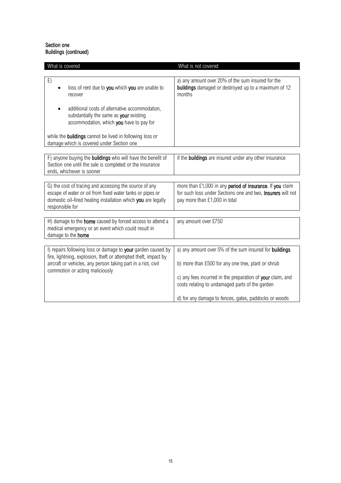## Section one Buildings (continued)

| What is covered                                                                                                                                                                                                                     | What is not covered                                                                                                                                                                                                                                                                    |
|-------------------------------------------------------------------------------------------------------------------------------------------------------------------------------------------------------------------------------------|----------------------------------------------------------------------------------------------------------------------------------------------------------------------------------------------------------------------------------------------------------------------------------------|
| E)<br>loss of rent due to you which you are unable to<br>recover<br>additional costs of alternative accommodation,<br>substantially the same as your existing<br>accommodation, which you have to pay for                           | a) any amount over 20% of the sum insured for the<br>buildings damaged or destroyed up to a maximum of 12<br>months                                                                                                                                                                    |
| while the buildings cannot be lived in following loss or<br>damage which is covered under Section one                                                                                                                               |                                                                                                                                                                                                                                                                                        |
| F) anyone buying the buildings who will have the benefit of<br>Section one until the sale is completed or the insurance<br>ends, whichever is sooner                                                                                | if the <b>buildings</b> are insured under any other insurance                                                                                                                                                                                                                          |
| G) the cost of tracing and accessing the source of any<br>escape of water or oil from fixed water tanks or pipes or<br>domestic oil-fired heating installation which you are legally<br>responsible for                             | more than £1,000 in any period of insurance. If you claim<br>for such loss under Sections one and two, Insurers will not<br>pay more than £1,000 in total                                                                                                                              |
| H) damage to the home caused by forced access to attend a<br>medical emergency or an event which could result in<br>damage to the home                                                                                              | any amount over £750                                                                                                                                                                                                                                                                   |
| I) repairs following loss or damage to your garden caused by<br>fire, lightning, explosion, theft or attempted theft, impact by<br>aircraft or vehicles, any person taking part in a riot, civil<br>commotion or acting maliciously | a) any amount over 5% of the sum insured for buildings<br>b) more than £500 for any one tree, plant or shrub<br>c) any fees incurred in the preparation of your claim, and<br>costs relating to undamaged parts of the garden<br>d) for any damage to fences, gates, paddocks or woods |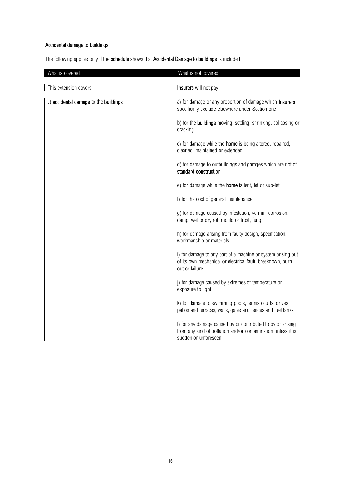# Accidental damage to buildings

The following applies only if the schedule shows that Accidental Damage to buildings is included

| What is covered                       | What is not covered                                                                                                                                 |
|---------------------------------------|-----------------------------------------------------------------------------------------------------------------------------------------------------|
| This extension covers                 | Insurers will not pay                                                                                                                               |
|                                       |                                                                                                                                                     |
| J) accidental damage to the buildings | a) for damage or any proportion of damage which Insurers<br>specifically exclude elsewhere under Section one                                        |
|                                       | b) for the <b>buildings</b> moving, settling, shrinking, collapsing or<br>cracking                                                                  |
|                                       | c) for damage while the <b>home</b> is being altered, repaired,<br>cleaned, maintained or extended                                                  |
|                                       | d) for damage to outbuildings and garages which are not of<br>standard construction                                                                 |
|                                       | e) for damage while the <b>home</b> is lent, let or sub-let                                                                                         |
|                                       | f) for the cost of general maintenance                                                                                                              |
|                                       | g) for damage caused by infestation, vermin, corrosion,<br>damp, wet or dry rot, mould or frost, fungi                                              |
|                                       | h) for damage arising from faulty design, specification,<br>workmanship or materials                                                                |
|                                       | i) for damage to any part of a machine or system arising out<br>of its own mechanical or electrical fault, breakdown, burn<br>out or failure        |
|                                       | j) for damage caused by extremes of temperature or<br>exposure to light                                                                             |
|                                       | k) for damage to swimming pools, tennis courts, drives,<br>patios and terraces, walls, gates and fences and fuel tanks                              |
|                                       | I) for any damage caused by or contributed to by or arising<br>from any kind of pollution and/or contamination unless it is<br>sudden or unforeseen |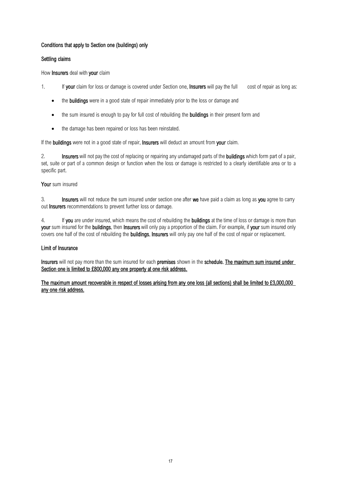## Conditions that apply to Section one (buildings) only

## Settling claims

How Insurers deal with your claim

- 1. If your claim for loss or damage is covered under Section one, Insurers will pay the full cost of repair as long as:
	- the **buildings** were in a good state of repair immediately prior to the loss or damage and
	- the sum insured is enough to pay for full cost of rebuilding the **buildings** in their present form and
	- the damage has been repaired or loss has been reinstated.

If the buildings were not in a good state of repair, Insurers will deduct an amount from your claim.

2. Insurers will not pay the cost of replacing or repairing any undamaged parts of the buildings which form part of a pair, set, suite or part of a common design or function when the loss or damage is restricted to a clearly identifiable area or to a specific part.

## Your sum insured

3. Insurers will not reduce the sum insured under section one after we have paid a claim as long as you agree to carry out Insurers recommendations to prevent further loss or damage.

4. If you are under insured, which means the cost of rebuilding the **buildings** at the time of loss or damage is more than your sum insured for the buildings, then Insurers will only pay a proportion of the claim. For example, if your sum insured only covers one half of the cost of rebuilding the buildings, Insurers will only pay one half of the cost of repair or replacement.

## Limit of Insurance

Insurers will not pay more than the sum insured for each premises shown in the schedule. The maximum sum insured under Section one is limited to £800,000 any one property at one risk address.

## The maximum amount recoverable in respect of losses arising from any one loss (all sections) shall be limited to £3,000,000 any one risk address.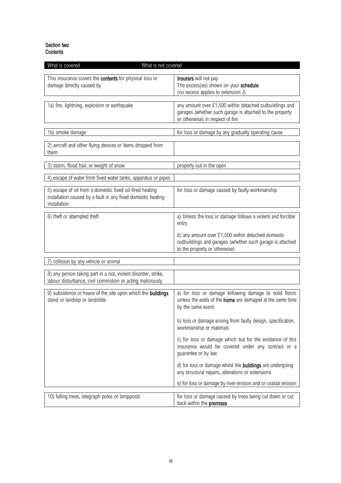## Section two **Contents**

| What is covered<br>What is not covered                                                                                                   |                                                                                                                                                         |
|------------------------------------------------------------------------------------------------------------------------------------------|---------------------------------------------------------------------------------------------------------------------------------------------------------|
| This insurance covers the contents for physical loss or<br>damage directly caused by                                                     | Insurers will not pay<br>The excess(es) shown on your schedule<br>(no excess applies to extension J)                                                    |
| 1a) fire, lightning, explosion or earthquake                                                                                             | any amount over £1,500 within detached outbuildings and<br>garages (whether such garage is attached to the property<br>or otherwise) in respect of fire |
| 1b) smoke damage                                                                                                                         | for loss or damage by any gradually operating cause                                                                                                     |
| 2) aircraft and other flying devices or items dropped from<br>them                                                                       |                                                                                                                                                         |
| 3) storm, flood hail, or weight of snow                                                                                                  | property out in the open                                                                                                                                |
| 4) escape of water from fixed water tanks, apparatus or pipes                                                                            |                                                                                                                                                         |
| 5) escape of oil from a domestic fixed oil-fired heating<br>installation caused by a fault in any fixed domestic heating<br>installation | for loss or damage caused by faulty workmanship                                                                                                         |
| 6) theft or attempted theft                                                                                                              | a) Unless the loss or damage follows a violent and forcible<br>entry                                                                                    |
|                                                                                                                                          | b) any amount over £1,500 within detached domestic<br>outbuildings and garages (whether such garage is attached<br>to the property or otherwise)        |
| collision by any vehicle or animal                                                                                                       |                                                                                                                                                         |
| 8) any person taking part in a riot, violent disorder, strike,<br>labour disturbance, civil commotion or acting maliciously              |                                                                                                                                                         |
| 9) subsidence or heave of the site upon which the buildings<br>stand or landslip or landslide                                            | a) for loss or damage following damage to solid floors<br>unless the walls of the home are damaged at the same time<br>by the same event                |
|                                                                                                                                          | b) loss or damage arising from faulty design, specification,<br>workmanship or materials                                                                |
|                                                                                                                                          | c) for loss or damage which but for the existence of this<br>insurance would be covered under any contract or a<br>guarantee or by law                  |
|                                                                                                                                          | d) for loss or damage whilst the <b>buildings</b> are undergoing<br>any structural repairs, alterations or extensions                                   |
|                                                                                                                                          | e) for loss or damage by river erosion and or coastal erosion                                                                                           |
| 10) falling trees, telegraph poles or lampposts                                                                                          | for loss or damage caused by trees being cut down or cut<br>back within the premises                                                                    |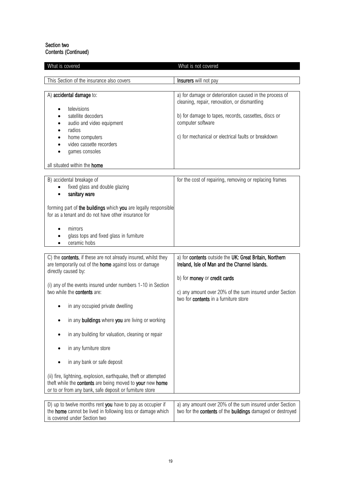## Section two Contents (Continued)

| What is covered                                                                                                                                                                         | What is not covered                                                                                                              |
|-----------------------------------------------------------------------------------------------------------------------------------------------------------------------------------------|----------------------------------------------------------------------------------------------------------------------------------|
| This Section of the insurance also covers                                                                                                                                               | Insurers will not pay                                                                                                            |
|                                                                                                                                                                                         |                                                                                                                                  |
| A) accidental damage to:<br>televisions                                                                                                                                                 | a) for damage or deterioration caused in the process of<br>cleaning, repair, renovation, or dismantling                          |
| satellite decoders<br>audio and video equipment                                                                                                                                         | b) for damage to tapes, records, cassettes, discs or<br>computer software                                                        |
| radios<br>home computers<br>video cassette recorders<br>games consoles                                                                                                                  | c) for mechanical or electrical faults or breakdown                                                                              |
| all situated within the home                                                                                                                                                            |                                                                                                                                  |
| B) accidental breakage of<br>fixed glass and double glazing<br>sanitary ware                                                                                                            | for the cost of repairing, removing or replacing frames                                                                          |
| forming part of the buildings which you are legally responsible<br>for as a tenant and do not have other insurance for                                                                  |                                                                                                                                  |
| mirrors<br>glass tops and fixed glass in furniture<br>ceramic hobs                                                                                                                      |                                                                                                                                  |
| C) the contents, if these are not already insured, whilst they<br>are temporarily out of the home against loss or damage<br>directly caused by:                                         | a) for contents outside the UK: Great Britain, Northern<br>Ireland, Isle of Man and the Channel Islands.                         |
| (i) any of the events insured under numbers 1-10 in Section<br>two while the contents are:                                                                                              | b) for money or credit cards<br>c) any amount over 20% of the sum insured under Section<br>two for contents in a furniture store |
| in any occupied private dwelling                                                                                                                                                        |                                                                                                                                  |
| in any buildings where you are living or working                                                                                                                                        |                                                                                                                                  |
| in any building for valuation, cleaning or repair                                                                                                                                       |                                                                                                                                  |
| in any furniture store                                                                                                                                                                  |                                                                                                                                  |
| in any bank or safe deposit                                                                                                                                                             |                                                                                                                                  |
| (ii) fire, lightning, explosion, earthquake, theft or attempted<br>theft while the contents are being moved to your new home<br>or to or from any bank, safe deposit or furniture store |                                                                                                                                  |
| D) up to twelve months rent you have to pay as occupier if<br>the home cannot be lived in following loss or damage which<br>is covered under Section two                                | a) any amount over 20% of the sum insured under Section<br>two for the contents of the buildings damaged or destroyed            |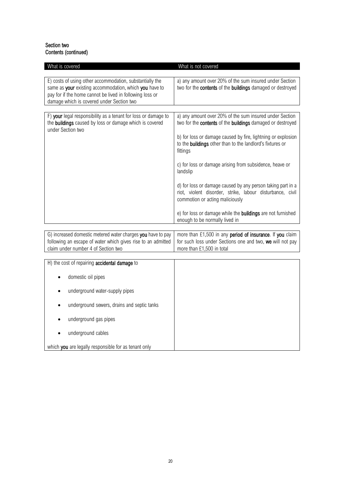## Section two Contents (continued)

| What is covered                                                                                                                                                                                                             | What is not covered                                                                                                                                                                                                                                                                                                                                                                                                                                                                                                                                                                                                               |
|-----------------------------------------------------------------------------------------------------------------------------------------------------------------------------------------------------------------------------|-----------------------------------------------------------------------------------------------------------------------------------------------------------------------------------------------------------------------------------------------------------------------------------------------------------------------------------------------------------------------------------------------------------------------------------------------------------------------------------------------------------------------------------------------------------------------------------------------------------------------------------|
| E) costs of using other accommodation, substantially the<br>same as your existing accommodation, which you have to<br>pay for if the home cannot be lived in following loss or<br>damage which is covered under Section two | a) any amount over 20% of the sum insured under Section<br>two for the contents of the buildings damaged or destroyed                                                                                                                                                                                                                                                                                                                                                                                                                                                                                                             |
| F) your legal responsibility as a tenant for loss or damage to<br>the buildings caused by loss or damage which is covered<br>under Section two                                                                              | a) any amount over 20% of the sum insured under Section<br>two for the <b>contents</b> of the <b>buildings</b> damaged or destroyed<br>b) for loss or damage caused by fire, lightning or explosion<br>to the <b>buildings</b> other than to the landlord's fixtures or<br>fittings<br>c) for loss or damage arising from subsidence, heave or<br>landslip<br>d) for loss or damage caused by any person taking part in a<br>riot, violent disorder, strike, labour disturbance, civil<br>commotion or acting maliciously<br>e) for loss or damage while the <b>buildings</b> are not furnished<br>enough to be normally lived in |
|                                                                                                                                                                                                                             |                                                                                                                                                                                                                                                                                                                                                                                                                                                                                                                                                                                                                                   |

G) increased domestic metered water charges you have to pay following an escape of water which gives rise to an admitted claim under number 4 of Section two more than  $£1,500$  in any period of insurance. If you claim for such loss under Sections one and two, we will not pay more than £1,500 in total

| H) the cost of repairing accidental damage to            |
|----------------------------------------------------------|
| domestic oil pipes<br>$\bullet$                          |
| underground water-supply pipes<br>$\bullet$              |
| underground sewers, drains and septic tanks<br>$\bullet$ |
| underground gas pipes<br>$\bullet$                       |
| underground cables<br>$\bullet$                          |
| which you are legally responsible for as tenant only     |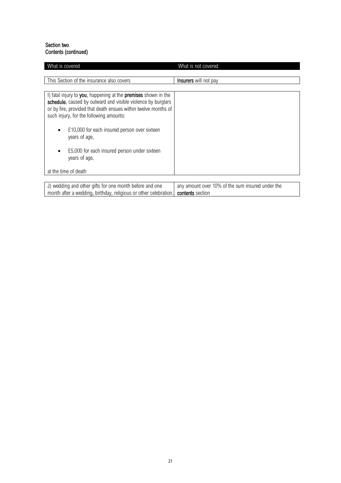## Section two Contents (continued)

month after a wedding, birthday, religious or other celebration.

| What is covered                                                                                                                                                                                                                             | What is not covered                              |
|---------------------------------------------------------------------------------------------------------------------------------------------------------------------------------------------------------------------------------------------|--------------------------------------------------|
|                                                                                                                                                                                                                                             |                                                  |
| This Section of the insurance also covers                                                                                                                                                                                                   | <b>Insurers</b> will not pay                     |
|                                                                                                                                                                                                                                             |                                                  |
| I) fatal injury to you, happening at the premises shown in the<br>schedule, caused by outward and visible violence by burglars<br>or by fire, provided that death ensues within twelve months of<br>such injury, for the following amounts: |                                                  |
| £10,000 for each insured person over sixteen<br>٠<br>years of age,                                                                                                                                                                          |                                                  |
| £5,000 for each insured person under sixteen<br>$\bullet$<br>years of age,                                                                                                                                                                  |                                                  |
| at the time of death                                                                                                                                                                                                                        |                                                  |
| J) wedding and other gifts for one month before and one                                                                                                                                                                                     | any amount over 10% of the sum insured under the |

contents section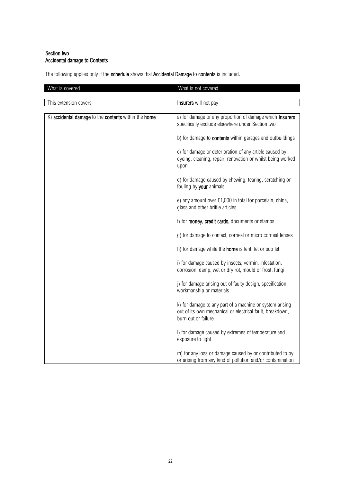## Section two Accidental damage to Contents

The following applies only if the schedule shows that Accidental Damage to contents is included.

| What is covered                                      | What is not covered                                                                                                                          |
|------------------------------------------------------|----------------------------------------------------------------------------------------------------------------------------------------------|
| This extension covers                                | Insurers will not pay                                                                                                                        |
| K) accidental damage to the contents within the home | a) for damage or any proportion of damage which Insurers<br>specifically exclude elsewhere under Section two                                 |
|                                                      | b) for damage to <b>contents</b> within garages and outbuildings                                                                             |
|                                                      | c) for damage or deterioration of any article caused by<br>dyeing, cleaning, repair, renovation or whilst being worked<br>upon               |
|                                                      | d) for damage caused by chewing, tearing, scratching or<br>fouling by your animals                                                           |
|                                                      | e) any amount over £1,000 in total for porcelain, china,<br>glass and other brittle articles                                                 |
|                                                      | f) for <b>money</b> , credit cards, documents or stamps                                                                                      |
|                                                      | g) for damage to contact, corneal or micro corneal lenses                                                                                    |
|                                                      | h) for damage while the <b>home</b> is lent, let or sub let                                                                                  |
|                                                      | i) for damage caused by insects, vermin, infestation,<br>corrosion, damp, wet or dry rot, mould or frost, fungi                              |
|                                                      | j) for damage arising out of faulty design, specification,<br>workmanship or materials                                                       |
|                                                      | k) for damage to any part of a machine or system arising<br>out of its own mechanical or electrical fault, breakdown,<br>burn out or failure |
|                                                      | I) for damage caused by extremes of temperature and<br>exposure to light                                                                     |
|                                                      | m) for any loss or damage caused by or contributed to by<br>or arising from any kind of pollution and/or contamination                       |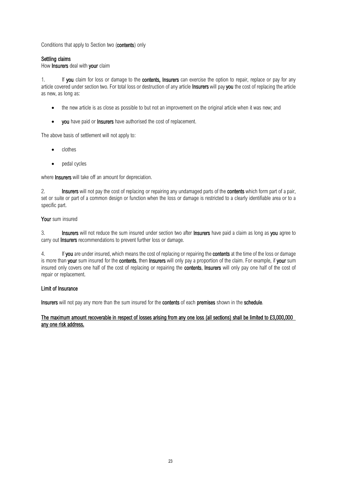Conditions that apply to Section two (contents) only

## Settling claims

## How Insurers deal with your claim

1. If you claim for loss or damage to the contents, Insurers can exercise the option to repair, replace or pay for any article covered under section two. For total loss or destruction of any article Insurers will pay you the cost of replacing the article as new, as long as:

- the new article is as close as possible to but not an improvement on the original article when it was new; and
- you have paid or Insurers have authorised the cost of replacement.

The above basis of settlement will not apply to:

- clothes
- pedal cycles

where **Insurers** will take off an amount for depreciation.

2. Insurers will not pay the cost of replacing or repairing any undamaged parts of the contents which form part of a pair, set or suite or part of a common design or function when the loss or damage is restricted to a clearly identifiable area or to a specific part.

## Your sum insured

3. Insurers will not reduce the sum insured under section two after Insurers have paid a claim as long as you agree to carry out **Insurers** recommendations to prevent further loss or damage.

4. If you are under insured, which means the cost of replacing or repairing the contents at the time of the loss or damage is more than your sum insured for the contents, then Insurers will only pay a proportion of the claim. For example, if your sum insured only covers one half of the cost of replacing or repairing the contents, Insurers will only pay one half of the cost of repair or replacement.

#### Limit of Insurance

Insurers will not pay any more than the sum insured for the contents of each premises shown in the schedule.

The maximum amount recoverable in respect of losses arising from any one loss (all sections) shall be limited to £3,000,000 any one risk address.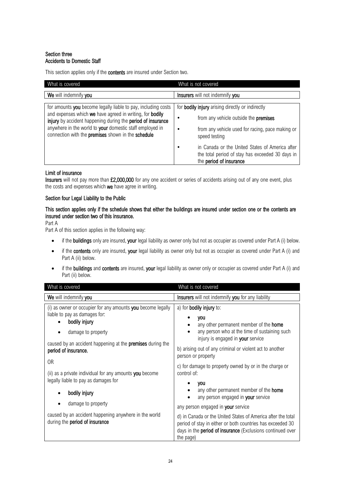## Section three Accidents to Domestic Staff

This section applies only if the **contents** are insured under Section two.

| What is covered                                                                                                                                                                                                                                                                                            | What is not covered                                                                                                                                                                                                                                                                                            |
|------------------------------------------------------------------------------------------------------------------------------------------------------------------------------------------------------------------------------------------------------------------------------------------------------------|----------------------------------------------------------------------------------------------------------------------------------------------------------------------------------------------------------------------------------------------------------------------------------------------------------------|
| We will indemnify you                                                                                                                                                                                                                                                                                      | Insurers will not indemnify you                                                                                                                                                                                                                                                                                |
| for amounts you become legally liable to pay, including costs<br>and expenses which we have agreed in writing, for bodily<br>injury by accident happening during the period of insurance<br>anywhere in the world to your domestic staff employed in<br>connection with the premises shown in the schedule | for <b>bodily injury</b> arising directly or indirectly<br>from any vehicle outside the <b>premises</b><br>from any vehicle used for racing, pace making or<br>speed testing<br>in Canada or the United States of America after<br>the total period of stay has exceeded 30 days in<br>the period of insurance |

## Limit of insurance

Insurers will not pay more than £2,000,000 for any one accident or series of accidents arising out of any one event, plus the costs and expenses which we have agree in writing.

## Section four Legal Liability to the Public

## This section applies only if the schedule shows that either the buildings are insured under section one or the contents are insured under section two of this insurance.

Part A

Part A of this section applies in the following way:

- if the buildings only are insured, your legal liability as owner only but not as occupier as covered under Part A (i) below.
- if the contents only are insured, your legal liability as owner only but not as occupier as covered under Part A (i) and Part A (ii) below.
- if the buildings and contents are insured, your legal liability as owner only or occupier as covered under Part A (i) and Part (ii) below.

| What is covered                                                                                                                                                                                          | What is not covered                                                                                                                                                                                          |
|----------------------------------------------------------------------------------------------------------------------------------------------------------------------------------------------------------|--------------------------------------------------------------------------------------------------------------------------------------------------------------------------------------------------------------|
| We will indemnify you                                                                                                                                                                                    | Insurers will not indemnify you for any liability                                                                                                                                                            |
| (i) as owner or occupier for any amounts you become legally<br>liable to pay as damages for:<br>bodily injury<br>damage to property<br>caused by an accident happening at the <b>premises</b> during the | a) for <b>bodily injury</b> to:<br>you<br>any other permanent member of the <b>home</b><br>any person who at the time of sustaining such<br>injury is engaged in your service                                |
| period of insurance,<br>0 <sub>R</sub><br>(ii) as a private individual for any amounts you become                                                                                                        | b) arising out of any criminal or violent act to another<br>person or property<br>c) for damage to property owned by or in the charge or<br>control of:                                                      |
| legally liable to pay as damages for<br>bodily injury<br>damage to property                                                                                                                              | you<br>any other permanent member of the <b>home</b><br>any person engaged in your service<br>any person engaged in your service                                                                             |
| caused by an accident happening anywhere in the world<br>during the <b>period</b> of insurance                                                                                                           | d) in Canada or the United States of America after the total<br>period of stay in either or both countries has exceeded 30<br>days in the <b>period of insurance</b> (Exclusions continued over<br>the page) |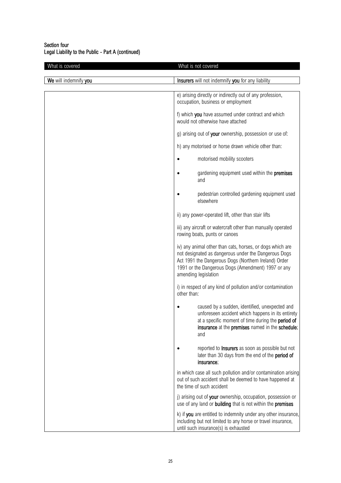## Section four Legal Liability to the Public - Part A (continued)

| What is covered       |             | What is not covered                                                                                                                                                                                                                                     |
|-----------------------|-------------|---------------------------------------------------------------------------------------------------------------------------------------------------------------------------------------------------------------------------------------------------------|
| We will indemnify you |             | Insurers will not indemnify you for any liability                                                                                                                                                                                                       |
|                       |             |                                                                                                                                                                                                                                                         |
|                       |             | e) arising directly or indirectly out of any profession,<br>occupation, business or employment                                                                                                                                                          |
|                       |             | f) which you have assumed under contract and which<br>would not otherwise have attached                                                                                                                                                                 |
|                       |             | g) arising out of your ownership, possession or use of:                                                                                                                                                                                                 |
|                       |             | h) any motorised or horse drawn vehicle other than:                                                                                                                                                                                                     |
|                       | ٠           | motorised mobility scooters                                                                                                                                                                                                                             |
|                       |             | gardening equipment used within the <b>premises</b><br>and                                                                                                                                                                                              |
|                       |             | pedestrian controlled gardening equipment used<br>elsewhere                                                                                                                                                                                             |
|                       |             | ii) any power-operated lift, other than stair lifts                                                                                                                                                                                                     |
|                       |             | iii) any aircraft or watercraft other than manually operated<br>rowing boats, punts or canoes                                                                                                                                                           |
|                       |             | iv) any animal other than cats, horses, or dogs which are<br>not designated as dangerous under the Dangerous Dogs<br>Act 1991 the Dangerous Dogs (Northern Ireland) Order<br>1991 or the Dangerous Dogs (Amendment) 1997 or any<br>amending legislation |
|                       | other than: | i) in respect of any kind of pollution and/or contamination                                                                                                                                                                                             |
|                       |             | caused by a sudden, identified, unexpected and<br>unforeseen accident which happens in its entirety<br>at a specific moment of time during the <b>period of</b><br>insurance at the premises named in the schedule;<br>and                              |
|                       |             | reported to Insurers as soon as possible but not<br>later than 30 days from the end of the period of<br>insurance;                                                                                                                                      |
|                       |             | in which case all such pollution and/or contamination arising<br>out of such accident shall be deemed to have happened at<br>the time of such accident                                                                                                  |
|                       |             | j) arising out of your ownership, occupation, possession or<br>use of any land or building that is not within the premises                                                                                                                              |
|                       |             | k) if you are entitled to indemnity under any other insurance,<br>including but not limited to any horse or travel insurance,<br>until such insurance(s) is exhausted                                                                                   |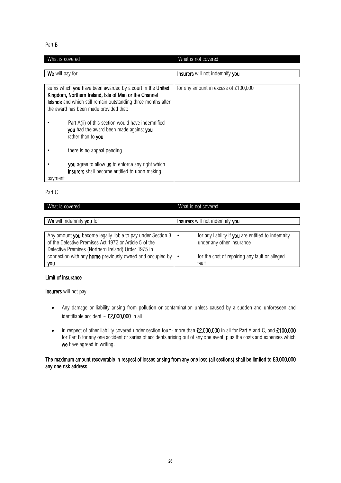Part B

| What is covered |                                                                                                                                                                                                                                      | What is not covered                  |
|-----------------|--------------------------------------------------------------------------------------------------------------------------------------------------------------------------------------------------------------------------------------|--------------------------------------|
|                 |                                                                                                                                                                                                                                      |                                      |
| We will pay for |                                                                                                                                                                                                                                      | Insurers will not indemnify you      |
|                 |                                                                                                                                                                                                                                      |                                      |
|                 | sums which you have been awarded by a court in the United<br>Kingdom, Northern Ireland, Isle of Man or the Channel<br><b>Islands</b> and which still remain outstanding three months after<br>the award has been made provided that: | for any amount in excess of £100,000 |
|                 | Part A(ii) of this section would have indemnified<br>you had the award been made against you<br>rather than to you                                                                                                                   |                                      |
|                 | there is no appeal pending                                                                                                                                                                                                           |                                      |
| payment         | you agree to allow us to enforce any right which<br><b>Insurers</b> shall become entitled to upon making                                                                                                                             |                                      |

Part C

| What is covered                                                                                                                                                                                                                                  | What is not covered                                                                                                               |
|--------------------------------------------------------------------------------------------------------------------------------------------------------------------------------------------------------------------------------------------------|-----------------------------------------------------------------------------------------------------------------------------------|
| We will indemnify you for                                                                                                                                                                                                                        | <b>Insurers</b> will not indemnify you                                                                                            |
| Any amount you become legally liable to pay under Section 3<br>of the Defective Premises Act 1972 or Article 5 of the<br>Defective Premises (Northern Ireland) Order 1975 in<br>connection with any <b>home</b> previously owned and occupied by | for any liability if you are entitled to indemnity<br>under any other insurance<br>for the cost of repairing any fault or alleged |
| you                                                                                                                                                                                                                                              | fault                                                                                                                             |

## Limit of insurance

Insurers will not pay

- Any damage or liability arising from pollution or contamination unless caused by a sudden and unforeseen and identifiable accident - £2,000,000 in all
- in respect of other liability covered under section four:- more than £2,000,000 in all for Part A and C, and £100,000 for Part B for any one accident or series of accidents arising out of any one event, plus the costs and expenses which we have agreed in writing.

## The maximum amount recoverable in respect of losses arising from any one loss (all sections) shall be limited to £3,000,000 any one risk address.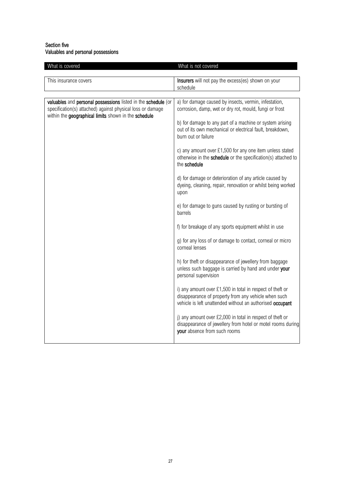## Section five Valuables and personal possessions

| What is covered                                                                                                                                                                     | What is not covered                                                                                                                                                                                                                                             |
|-------------------------------------------------------------------------------------------------------------------------------------------------------------------------------------|-----------------------------------------------------------------------------------------------------------------------------------------------------------------------------------------------------------------------------------------------------------------|
| This insurance covers                                                                                                                                                               | Insurers will not pay the excess(es) shown on your<br>schedule                                                                                                                                                                                                  |
|                                                                                                                                                                                     |                                                                                                                                                                                                                                                                 |
| valuables and personal possessions listed in the schedule (or<br>specification(s) attached) against physical loss or damage<br>within the geographical limits shown in the schedule | a) for damage caused by insects, vermin, infestation,<br>corrosion, damp, wet or dry rot, mould, fungi or frost<br>b) for damage to any part of a machine or system arising<br>out of its own mechanical or electrical fault, breakdown,<br>burn out or failure |
|                                                                                                                                                                                     |                                                                                                                                                                                                                                                                 |
|                                                                                                                                                                                     | c) any amount over £1,500 for any one item unless stated<br>otherwise in the schedule or the specification(s) attached to<br>the schedule                                                                                                                       |
|                                                                                                                                                                                     | d) for damage or deterioration of any article caused by<br>dyeing, cleaning, repair, renovation or whilst being worked<br>upon                                                                                                                                  |
|                                                                                                                                                                                     | e) for damage to guns caused by rusting or bursting of<br>barrels                                                                                                                                                                                               |
|                                                                                                                                                                                     | f) for breakage of any sports equipment whilst in use                                                                                                                                                                                                           |
|                                                                                                                                                                                     | g) for any loss of or damage to contact, corneal or micro<br>corneal lenses                                                                                                                                                                                     |
|                                                                                                                                                                                     | h) for theft or disappearance of jewellery from baggage<br>unless such baggage is carried by hand and under your<br>personal supervision                                                                                                                        |
|                                                                                                                                                                                     | i) any amount over £1,500 in total in respect of theft or<br>disappearance of property from any vehicle when such<br>vehicle is left unattended without an authorised occupant                                                                                  |
|                                                                                                                                                                                     | j) any amount over £2,000 in total in respect of theft or<br>disappearance of jewellery from hotel or motel rooms during<br>your absence from such rooms                                                                                                        |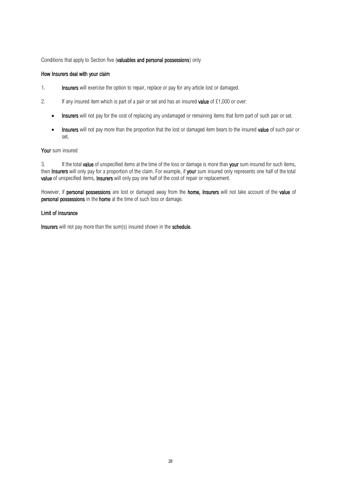## Conditions that apply to Section five (valuables and personal possessions) only

## How Insurers deal with your claim

- 1. Insurers will exercise the option to repair, replace or pay for any article lost or damaged.
- 2. If any insured item which is part of a pair or set and has an insured **value** of  $£1,000$  or over:
	- Insurers will not pay for the cost of replacing any undamaged or remaining items that form part of such pair or set.
	- Insurers will not pay more than the proportion that the lost or damaged item bears to the insured value of such pair or set.

## Your sum insured

3. If the total **value** of unspecified items at the time of the loss or damage is more than your sum insured for such items, then Insurers will only pay for a proportion of the claim. For example, if your sum insured only represents one half of the total value of unspecified items, Insurers will only pay one half of the cost of repair or replacement.

However, if personal possessions are lost or damaged away from the home, Insurers will not take account of the value of personal possessions in the home at the time of such loss or damage.

#### Limit of insurance

Insurers will not pay more than the sum(s) insured shown in the schedule.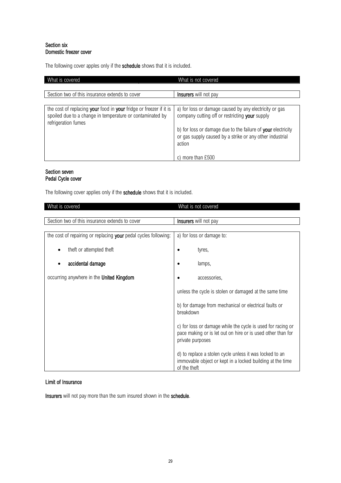## Section six Domestic freezer cover

The following cover apples only if the schedule shows that it is included.

| What is covered                                                                                                                                        | What is not covered                                                                                                                |
|--------------------------------------------------------------------------------------------------------------------------------------------------------|------------------------------------------------------------------------------------------------------------------------------------|
|                                                                                                                                                        |                                                                                                                                    |
| Section two of this insurance extends to cover                                                                                                         | <b>Insurers</b> will not pay                                                                                                       |
|                                                                                                                                                        |                                                                                                                                    |
| the cost of replacing your food in your fridge or freezer if it is<br>spoiled due to a change in temperature or contaminated by<br>refrigeration fumes | a) for loss or damage caused by any electricity or gas<br>company cutting off or restricting your supply                           |
|                                                                                                                                                        | b) for loss or damage due to the failure of your electricity<br>or gas supply caused by a strike or any other industrial<br>action |
|                                                                                                                                                        | c) more than £500                                                                                                                  |

## Section seven Pedal Cycle cover

The following cover applies only if the schedule shows that it is included.

| What is covered                                                 | What is not covered                                                                                                                            |
|-----------------------------------------------------------------|------------------------------------------------------------------------------------------------------------------------------------------------|
|                                                                 |                                                                                                                                                |
| Section two of this insurance extends to cover                  | Insurers will not pay                                                                                                                          |
|                                                                 |                                                                                                                                                |
| the cost of repairing or replacing your pedal cycles following: | a) for loss or damage to:                                                                                                                      |
| theft or attempted theft                                        | tyres,                                                                                                                                         |
| accidental damage                                               | lamps,                                                                                                                                         |
| occurring anywhere in the United Kingdom                        | accessories,                                                                                                                                   |
|                                                                 | unless the cycle is stolen or damaged at the same time                                                                                         |
|                                                                 | b) for damage from mechanical or electrical faults or<br>breakdown                                                                             |
|                                                                 | c) for loss or damage while the cycle is used for racing or<br>pace making or is let out on hire or is used other than for<br>private purposes |
|                                                                 | d) to replace a stolen cycle unless it was locked to an<br>immovable object or kept in a locked building at the time<br>of the theft           |

## Limit of Insurance

Insurers will not pay more than the sum insured shown in the schedule.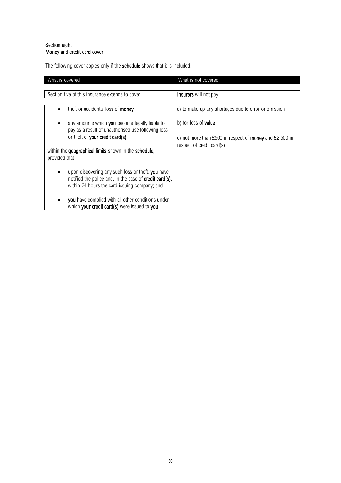## Section eight Money and credit card cover

The following cover apples only if the schedule shows that it is included.

| What is covered                                                                                                                                                                                                            | What is not covered                                                                                                        |
|----------------------------------------------------------------------------------------------------------------------------------------------------------------------------------------------------------------------------|----------------------------------------------------------------------------------------------------------------------------|
|                                                                                                                                                                                                                            |                                                                                                                            |
| Section five of this insurance extends to cover                                                                                                                                                                            | <b>Insurers</b> will not pay                                                                                               |
|                                                                                                                                                                                                                            |                                                                                                                            |
| theft or accidental loss of money                                                                                                                                                                                          | a) to make up any shortages due to error or omission                                                                       |
| any amounts which you become legally liable to<br>pay as a result of unauthorised use following loss<br>or theft of your credit card(s)<br>within the geographical limits shown in the schedule,<br>provided that          | b) for loss of <b>value</b><br>c) not more than £500 in respect of <b>money</b> and £2,500 in<br>respect of credit card(s) |
| upon discovering any such loss or theft, you have<br>notified the police and, in the case of <b>credit card(s)</b> ,<br>within 24 hours the card issuing company; and<br>you have complied with all other conditions under |                                                                                                                            |
| which your credit card(s) were issued to you                                                                                                                                                                               |                                                                                                                            |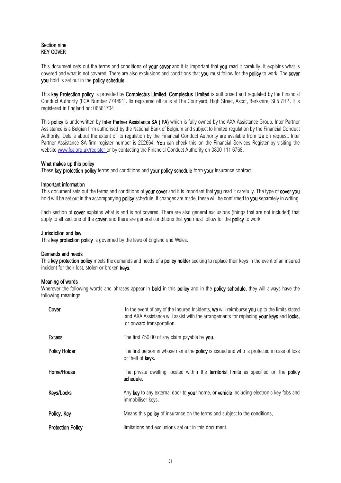## Section nine KEY COVER

This document sets out the terms and conditions of your cover and it is important that you read it carefully. It explains what is covered and what is not covered. There are also exclusions and conditions that you must follow for the policy to work. The cover you hold is set out in the policy schedule.

This key Protection policy is provided by Complectus Limited. Complectus Limited is authorised and requiated by the Financial Conduct Authority (FCA Number 774491). Its registered office is at The Courtyard, High Street, Ascot, Berkshire, SL5 7HP. It is registered in England no: 06581704

This policy is underwritten by Inter Partner Assistance SA (IPA) which is fully owned by the AXA Assistance Group. Inter Partner Assistance is a Belgian firm authorised by the National Bank of Belgium and subject to limited regulation by the Financial Conduct Authority. Details about the extent of its regulation by the Financial Conduct Authority are available from Us on request. Inter Partner Assistance SA firm register number is 202664. You can check this on the Financial Services Register by visiting the website [www.fca.org.uk/register o](http://www.fca.org.uk/register)r by contacting the Financial Conduct Authority on 0800 111 6768.

## What makes up this policy

These key protection policy terms and conditions and your policy schedule form your insurance contract.

## Important information

This document sets out the terms and conditions of your cover and it is important that you read it carefully. The type of cover you hold will be set out in the accompanying **policy** schedule. If changes are made, these will be confirmed to **you** separately in writing.

Each section of **cover** explains what is and is not covered. There are also general exclusions (things that are not included) that apply to all sections of the **cover**, and there are general conditions that **you** must follow for the **policy** to work.

## Jurisdiction and law

This key protection policy is governed by the laws of England and Wales.

#### Demands and needs

This key protection policy meets the demands and needs of a policy holder seeking to replace their keys in the event of an insured incident for their lost, stolen or broken keys.

## Meaning of words

Wherever the following words and phrases appear in **bold** in this policy and in the policy schedule, they will always have the following meanings.

| Cover                    | In the event of any of the Insured Incidents, we will reimburse you up to the limits stated<br>and AXA Assistance will assist with the arrangements for replacing your keys and locks,<br>or onward transportation. |
|--------------------------|---------------------------------------------------------------------------------------------------------------------------------------------------------------------------------------------------------------------|
| <b>Excess</b>            | The first £50.00 of any claim payable by you.                                                                                                                                                                       |
| Policy Holder            | The first person in whose name the <b>policy</b> is issued and who is protected in case of loss<br>or theft of <b>keys.</b>                                                                                         |
| Home/House               | The private dwelling located within the territorial limits as specified on the policy<br>schedule.                                                                                                                  |
| Keys/Locks               | Any key to any external door to your home, or vehicle including electronic key fobs and<br>immobiliser keys.                                                                                                        |
| Policy, Key              | Means this <b>policy</b> of insurance on the terms and subject to the conditions,                                                                                                                                   |
| <b>Protection Policy</b> | limitations and exclusions set out in this document.                                                                                                                                                                |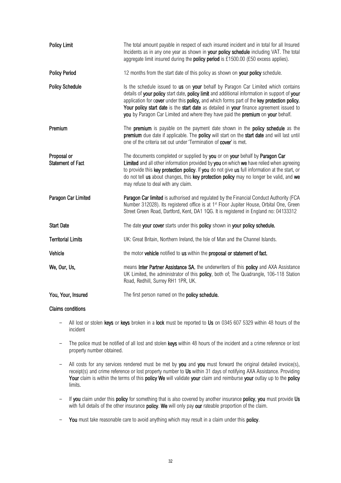| <b>Policy Limit</b>                     | The total amount payable in respect of each insured incident and in total for all Insured<br>Incidents as in any one year as shown in your policy schedule including VAT. The total<br>aggregate limit insured during the <b>policy period</b> is £1500.00 (£50 excess applies).                                                                                                                                                                                 |
|-----------------------------------------|------------------------------------------------------------------------------------------------------------------------------------------------------------------------------------------------------------------------------------------------------------------------------------------------------------------------------------------------------------------------------------------------------------------------------------------------------------------|
| <b>Policy Period</b>                    | 12 months from the start date of this policy as shown on your policy schedule.                                                                                                                                                                                                                                                                                                                                                                                   |
| <b>Policy Schedule</b>                  | Is the schedule issued to us on your behalf by Paragon Car Limited which contains<br>details of your policy start date, policy limit and additional information in support of your<br>application for cover under this policy, and which forms part of the key protection policy.<br>Your policy start date is the start date as detailed in your finance agreement issued to<br>you by Paragon Car Limited and where they have paid the premium on your behalf. |
| Premium                                 | The <b>premium</b> is payable on the payment date shown in the <b>policy schedule</b> as the<br>premium due date if applicable. The policy will start on the start date and will last until<br>one of the criteria set out under 'Termination of cover' is met.                                                                                                                                                                                                  |
| Proposal or<br><b>Statement of Fact</b> | The documents completed or supplied by you or on your behalf by Paragon Car<br>Limited and all other information provided by you on which we have relied when agreeing<br>to provide this key protection policy. If you do not give us full information at the start, or<br>do not tell us about changes, this key protection policy may no longer be valid, and we<br>may refuse to deal with any claim.                                                        |
| Paragon Car Limited                     | Paragon Car limited is authorised and regulated by the Financial Conduct Authority (FCA<br>Number 312028). Its registered office is at 1 <sup>st</sup> Floor Jupiter House, Orbital One, Green<br>Street Green Road, Dartford, Kent, DA1 1QG. It is registered in England no: 04133312                                                                                                                                                                           |
| <b>Start Date</b>                       | The date your cover starts under this policy shown in your policy schedule.                                                                                                                                                                                                                                                                                                                                                                                      |
| <b>Territorial Limits</b>               | UK: Great Britain, Northern Ireland, the Isle of Man and the Channel Islands.                                                                                                                                                                                                                                                                                                                                                                                    |
| Vehicle                                 | the motor vehicle notified to us within the proposal or statement of fact.                                                                                                                                                                                                                                                                                                                                                                                       |
| We, Our, Us,                            | means Inter Partner Assistance SA, the underwriters of this policy and AXA Assistance<br>UK Limited, the administrator of this policy, both of; The Quadrangle, 106-118 Station<br>Road, Redhill, Surrey RH1 1PR, UK.                                                                                                                                                                                                                                            |
| You, Your, Insured                      | The first person named on the policy schedule.                                                                                                                                                                                                                                                                                                                                                                                                                   |

#### Claims conditions

- All lost or stolen keys or keys broken in a lock must be reported to Us on 0345 607 5329 within 48 hours of the incident
- The police must be notified of all lost and stolen keys within 48 hours of the incident and a crime reference or lost property number obtained.
- All costs for any services rendered must be met by you and you must forward the original detailed invoice(s), receipt(s) and crime reference or lost property number to Us within 31 days of notifying AXA Assistance. Providing Your claim is within the terms of this policy We will validate your claim and reimburse your outlay up to the policy limits.
- If you claim under this policy for something that is also covered by another insurance policy, you must provide Us with full details of the other insurance **policy. We** will only pay **our** rateable proportion of the claim.
- You must take reasonable care to avoid anything which may result in a claim under this policy.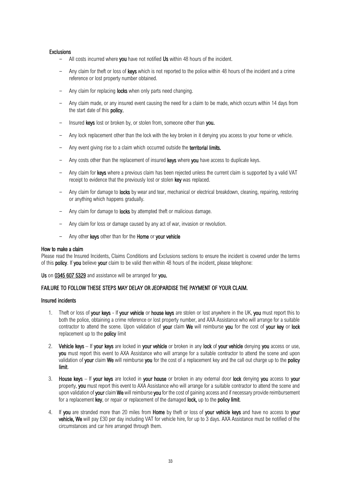#### **Exclusions**

- All costs incurred where you have not notified Us within 48 hours of the incident.
- Any claim for theft or loss of keys which is not reported to the police within 48 hours of the incident and a crime reference or lost property number obtained.
- Any claim for replacing locks when only parts need changing.
- Any claim made, or any insured event causing the need for a claim to be made, which occurs within 14 days from the start date of this policy.
- Insured keys lost or broken by, or stolen from, someone other than you.
- Any lock replacement other than the lock with the key broken in it denying you access to your home or vehicle.
- Any event giving rise to a claim which occurred outside the territorial limits.
- Any costs other than the replacement of insured keys where you have access to duplicate keys.
- Any claim for keys where a previous claim has been rejected unless the current claim is supported by a valid VAT receipt to evidence that the previously lost or stolen key was replaced.
- Any claim for damage to **locks** by wear and tear, mechanical or electrical breakdown, cleaning, repairing, restoring or anything which happens gradually.
- Any claim for damage to **locks** by attempted theft or malicious damage.
- Any claim for loss or damage caused by any act of war, invasion or revolution.
- Any other keys other than for the Home or your vehicle

#### How to make a claim

Please read the Insured Incidents, Claims Conditions and Exclusions sections to ensure the incident is covered under the terms of this policy. If you believe your claim to be valid then within 48 hours of the incident, please telephone:

Us on 0345 607 5329 and assistance will be arranged for you.

## FAILURE TO FOLLOW THESE STEPS MAY DELAY OR JEOPARDISE THE PAYMENT OF YOUR CLAIM.

## Insured incidents

- 1. Theft or loss of your keys If your vehicle or house keys are stolen or lost anywhere in the UK, you must report this to both the police, obtaining a crime reference or lost property number, and AXA Assistance who will arrange for a suitable contractor to attend the scene. Upon validation of your claim We will reimburse you for the cost of your key or lock replacement up to the **policy** limit
- 2. Vehicle keys If your keys are locked in your vehicle or broken in any lock of your vehicle denying you access or use, you must report this event to AXA Assistance who will arrange for a suitable contractor to attend the scene and upon validation of your claim We will reimburse you for the cost of a replacement key and the call out charge up to the policy limit.
- 3. House keys If your keys are locked in your house or broken in any external door lock denying you access to your property, you must report this event to AXA Assistance who will arrange for a suitable contractor to attend the scene and upon validation of **your** claim We will reimburse you for the cost of gaining access and if necessary provide reimbursement for a replacement key, or repair or replacement of the damaged lock, up to the policy limit.
- 4. If you are stranded more than 20 miles from Home by theft or loss of your vehicle keys and have no access to your vehicle, We will pay £30 per day including VAT for vehicle hire, for up to 3 days. AXA Assistance must be notified of the circumstances and car hire arranged through them.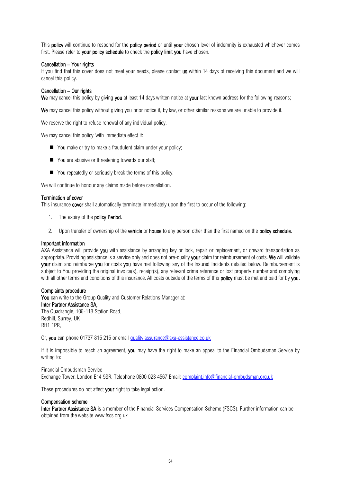This **policy** will continue to respond for the **policy period** or until your chosen level of indemnity is exhausted whichever comes first. Please refer to your policy schedule to check the policy limit you have chosen.

## Cancellation – Your rights

If you find that this cover does not meet your needs, please contact us within 14 days of receiving this document and we will cancel this policy.

## Cancellation – Our rights

We may cancel this policy by giving you at least 14 days written notice at your last known address for the following reasons;

We may cancel this policy without giving you prior notice if, by law, or other similar reasons we are unable to provide it.

We reserve the right to refuse renewal of any individual policy.

We may cancel this policy 'with immediate effect if:

- You make or try to make a fraudulent claim under your policy;
- You are abusive or threatening towards our staff;
- You repeatedly or seriously break the terms of this policy.

We will continue to honour any claims made before cancellation.

#### Termination of cover

This insurance **cover** shall automatically terminate immediately upon the first to occur of the following:

- 1. The expiry of the **policy Period.**
- 2. Upon transfer of ownership of the **vehicle** or **house** to any person other than the first named on the **policy schedule**.

#### Important information

AXA Assistance will provide you with assistance by arranging key or lock, repair or replacement, or onward transportation as appropriate. Providing assistance is a service only and does not pre-qualify your claim for reimbursement of costs. We will validate your claim and reimburse you for costs you have met following any of the Insured Incidents detailed below. Reimbursement is subject to You providing the original invoice(s), receipt(s), any relevant crime reference or lost property number and complying with all other terms and conditions of this insurance. All costs outside of the terms of this **policy** must be met and paid for by you.

#### Complaints procedure

You can write to the Group Quality and Customer Relations Manager at: Inter Partner Assistance SA, The Quadrangle, 106-118 Station Road, Redhill, Surrey, UK RH1 1PR,

Or, you can phone 01737 815 215 or email [quality.assurance@axa-assistance.co.uk](mailto:quality.assurance@axa-assistance.co.uk)

If it is impossible to reach an agreement, you may have the right to make an appeal to the Financial Ombudsman Service by writing to:

#### Financial Ombudsman Service

Exchange Tower, London E14 9SR. Telephone 0800 023 4567 Email[: complaint.info@financial-ombudsman.org.uk](mailto:complaint.info@financial-ombudsman.org.uk)

These procedures do not affect your right to take legal action.

#### Compensation scheme

Inter Partner Assistance SA is a member of the Financial Services Compensation Scheme (FSCS). Further information can be obtained from the website [www.fscs.org.uk](http://www.fscs.org.uk/)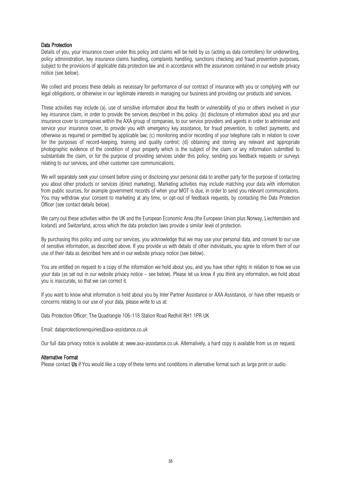## Data Protection

Details of you, your insurance cover under this policy and claims will be held by us (acting as data controllers) for underwriting, policy administration, key insurance claims handling, complaints handling, sanctions checking and fraud prevention purposes, subject to the provisions of applicable data protection law and in accordance with the assurances contained in our website privacy notice (see below).

We collect and process these details as necessary for performance of our contract of insurance with you or complying with our legal obligations, or otherwise in our legitimate interests in managing our business and providing our products and services.

These activities may include (a). use of sensitive information about the health or vulnerability of you or others involved in your key insurance claim, in order to provide the services described in this policy. (b) disclosure of information about you and your insurance cover to companies within the AXA group of companies, to our service providers and agents in order to administer and service your insurance cover, to provide you with emergency key assistance, for fraud prevention, to collect payments, and otherwise as required or permitted by applicable law; (c) monitoring and/or recording of your telephone calls in relation to cover for the purposes of record-keeping, training and quality control; (d) obtaining and storing any relevant and appropriate photographic evidence of the condition of your property which is the subject of the claim or any information submitted to substantiate the claim, or for the purpose of providing services under this policy, sending you feedback requests or surveys relating to our services, and other customer care communications.

We will separately seek your consent before using or disclosing your personal data to another party for the purpose of contacting you about other products or services (direct marketing). Marketing activities may include matching your data with information from public sources, for example government records of when your MOT is due, in order to send you relevant communications. You may withdraw your consent to marketing at any time, or opt-out of feedback requests, by contacting the Data Protection Officer (see contact details below).

We carry out these activities within the UK and the European Economic Area (the European Union plus Norway, Liechtenstein and Iceland) and Switzerland, across which the data protection laws provide a similar level of protection.

By purchasing this policy and using our services, you acknowledge that we may use your personal data, and consent to our use of sensitive information, as described above. If you provide us with details of other individuals, you agree to inform them of our use of their data as described here and in our website privacy notice (see below).

You are entitled on request to a copy of the information we hold about you, and you have other rights in relation to how we use your data (as set out in our website privacy notice – see below). Please let us know if you think any information, we hold about you is inaccurate, so that we can correct it.

If you want to know what information is held about you by Inter Partner Assistance or AXA Assistance, or have other requests or concerns relating to our use of your data, please write to us at:

Data Protection Officer; The Quadrangle 106-118 Station Road Redhill RH1 1PR UK

Email: dataprotectionenquiries@axa-assistance.co.uk

Our full data privacy notice is available at: www.axa-assistance.co.uk. Alternatively, a hard copy is available from us on request.

#### Alternative Format

Please contact Us if You would like a copy of these terms and conditions in alternative format such as large print or audio.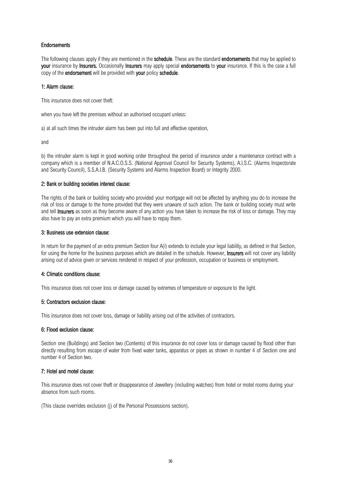## Endorsements

The following clauses apply if they are mentioned in the schedule. These are the standard endorsements that may be applied to your insurance by Insurers. Occasionally Insurers may apply special endorsements to your insurance. If this is the case a full copy of the endorsement will be provided with your policy schedule.

#### 1: Alarm clause:

This insurance does not cover theft:

when you have left the premises without an authorised occupant unless:

a) at all such times the intruder alarm has been put into full and effective operation,

and

b) the intruder alarm is kept in good working order throughout the period of insurance under a maintenance contract with a company which is a member of N.A.C.O.S.S. (National Approval Council for Security Systems), A.I.S.C. (Alarms Inspectorate and Security Council), S.S.A.I.B. (Security Systems and Alarms Inspection Board) or Integrity 2000.

#### 2: Bank or building societies interest clause:

The rights of the bank or building society who provided your mortgage will not be affected by anything you do to increase the risk of loss or damage to the home provided that they were unaware of such action. The bank or building society must write and tell Insurers as soon as they become aware of any action you have taken to increase the risk of loss or damage. They may also have to pay an extra premium which you will have to repay them.

#### 3: Business use extension clause:

In return for the payment of an extra premium Section four A(i) extends to include your legal liability, as defined in that Section, for using the home for the business purposes which are detailed in the schedule. However, **Insurers** will not cover any liability arising out of advice given or services rendered in respect of your profession, occupation or business or employment.

#### 4: Climatic conditions clause:

This insurance does not cover loss or damage caused by extremes of temperature or exposure to the light.

#### 5: Contractors exclusion clause:

This insurance does not cover loss, damage or liability arising out of the activities of contractors.

#### 6: Flood exclusion clause:

Section one (Buildings) and Section two (Contents) of this insurance do not cover loss or damage caused by flood other than directly resulting from escape of water from fixed water tanks, apparatus or pipes as shown in number 4 of Section one and number 4 of Section two.

#### 7: Hotel and motel clause:

This insurance does not cover theft or disappearance of Jewellery (including watches) from hotel or motel rooms during your absence from such rooms.

(This clause overrides exclusion (j) of the Personal Possessions section).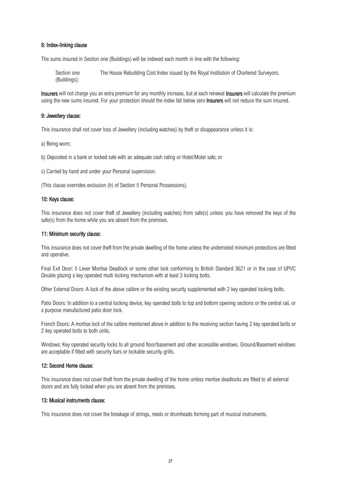#### 8: Index-linking clause

The sums insured in Section one (Buildings) will be indexed each month in line with the following:

Section one (Buildings): The House Rebuilding Cost Index issued by the Royal Institution of Chartered Surveyors.

Insurers will not charge you an extra premium for any monthly increase, but at each renewal Insurers will calculate the premium using the new sums insured. For your protection should the index fall below zero **Insurers** will not reduce the sum insured.

## 9: Jewellery clause:

This insurance shall not cover loss of Jewellery (including watches) by theft or disappearance unless it is:

a) Being worn;

b) Deposited in a bank or locked safe with an adequate cash rating or Hotel/Motel safe; or

c) Carried by hand and under your Personal supervision.

(This clause overrides exclusion (h) of Section 5 Personal Possessions).

#### 10: Keys clause:

This insurance does not cover theft of Jewellery (including watches) from safe(s) unless you have removed the keys of the safe(s) from the home while you are absent from the premises.

#### 11: Minimum security clause:

This insurance does not cover theft from the private dwelling of the home unless the undernoted minimum protections are fitted and operative.

Final Exit Door: 5 Lever Mortise Deadlock or some other lock conforming to British Standard 3621 or in the case of UPVC Double glazing a key operated multi locking mechanism with at least 3 locking bolts.

Other External Doors: A lock of the above calibre or the existing security supplemented with 2 key operated locking bolts.

Patio Doors: In addition to a central locking device, key operated bolts to top and bottom opening sections or the central rail, or a purpose manufactured patio door lock.

French Doors: A mortise lock of the calibre mentioned above in addition to the receiving section having 2 key operated bolts or 2 key operated bolts to both units.

Windows: Key operated security locks to all ground floor/basement and other accessible windows. Ground/Basement windows are acceptable if fitted with security bars or lockable security grills.

#### 12: Second Home clause:

This insurance does not cover theft from the private dwelling of the home unless mortise deadlocks are fitted to all external doors and are fully locked when you are absent from the premises.

## 13: Musical instruments clause:

This insurance does not cover the breakage of strings, reeds or drumheads forming part of musical instruments.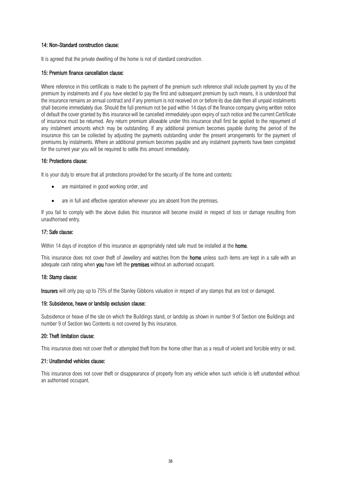## 14: Non-Standard construction clause:

It is agreed that the private dwelling of the home is not of standard construction.

#### 15: Premium finance cancellation clause:

Where reference in this certificate is made to the payment of the premium such reference shall include payment by you of the premium by instalments and if you have elected to pay the first and subsequent premium by such means, it is understood that the insurance remains an annual contract and if any premium is not received on or before its due date then all unpaid instalments shall become immediately due. Should the full premium not be paid within 14 days of the finance company giving written notice of default the cover granted by this insurance will be cancelled immediately upon expiry of such notice and the current Certificate of insurance must be returned. Any return premium allowable under this insurance shall first be applied to the repayment of any instalment amounts which may be outstanding. If any additional premium becomes payable during the period of the insurance this can be collected by adjusting the payments outstanding under the present arrangements for the payment of premiums by instalments. Where an additional premium becomes payable and any instalment payments have been completed for the current year you will be required to settle this amount immediately.

#### 16: Protections clause:

It is your duty to ensure that all protections provided for the security of the home and contents:

- are maintained in good working order, and
- are in full and effective operation whenever you are absent from the premises.

If you fail to comply with the above duties this insurance will become invalid in respect of loss or damage resulting from unauthorised entry.

## 17: Safe clause:

Within 14 days of inception of this insurance an appropriately rated safe must be installed at the **home**.

This insurance does not cover theft of Jewellery and watches from the **home** unless such items are kept in a safe with an adequate cash rating when you have left the premises without an authorised occupant.

#### 18: Stamp clause:

Insurers will only pay up to 75% of the Stanley Gibbons valuation in respect of any stamps that are lost or damaged.

#### 19: Subsidence, heave or landslip exclusion clause:

Subsidence or heave of the site on which the Buildings stand, or landslip as shown in number 9 of Section one Buildings and number 9 of Section two Contents is not covered by this insurance.

## 20: Theft limitation clause:

This insurance does not cover theft or attempted theft from the home other than as a result of violent and forcible entry or exit.

## 21: Unattended vehicles clause:

This insurance does not cover theft or disappearance of property from any vehicle when such vehicle is left unattended without an authorised occupant.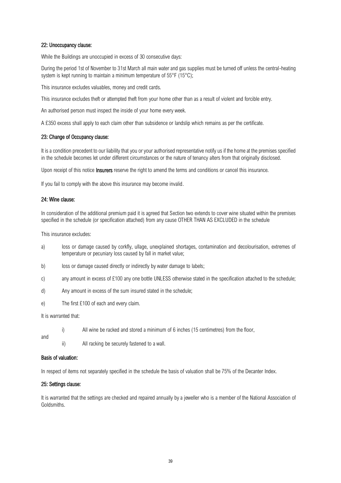## 22: Unoccupancy clause:

While the Buildings are unoccupied in excess of 30 consecutive days:

During the period 1st of November to 31st March all main water and gas supplies must be turned off unless the central-heating system is kept running to maintain a minimum temperature of 55°F (15°C);

This insurance excludes valuables, money and credit cards.

This insurance excludes theft or attempted theft from your home other than as a result of violent and forcible entry.

An authorised person must inspect the inside of your home every week.

A £350 excess shall apply to each claim other than subsidence or landslip which remains as per the certificate.

#### 23: Change of Occupancy clause:

It is a condition precedent to our liability that you or your authorised representative notify us if the home at the premises specified in the schedule becomes let under different circumstances or the nature of tenancy alters from that originally disclosed.

Upon receipt of this notice **Insurers** reserve the right to amend the terms and conditions or cancel this insurance.

If you fail to comply with the above this insurance may become invalid.

#### 24: Wine clause:

In consideration of the additional premium paid it is agreed that Section two extends to cover wine situated within the premises specified in the schedule (or specification attached) from any cause OTHER THAN AS EXCLUDED in the schedule

This insurance excludes:

- a) loss or damage caused by corkfly, ullage, unexplained shortages, contamination and decolourisation, extremes of temperature or pecuniary loss caused by fall in market value;
- b) loss or damage caused directly or indirectly by water damage to labels;
- c) any amount in excess of £100 any one bottle UNLESS otherwise stated in the specification attached to the schedule;
- d) Any amount in excess of the sum insured stated in the schedule;
- e) The first £100 of each and every claim.

It is warranted that:

i) All wine be racked and stored a minimum of 6 inches (15 centimetres) from the floor,

and

ii) All racking be securely fastened to a wall.

#### Basis of valuation:

In respect of items not separately specified in the schedule the basis of valuation shall be 75% of the Decanter Index.

#### 25: Settings clause:

It is warranted that the settings are checked and repaired annually by a jeweller who is a member of the National Association of Goldsmiths.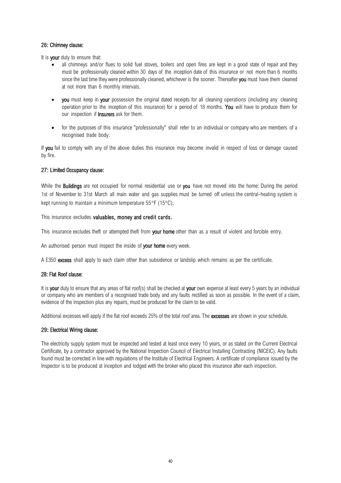## 26: Chimney clause:

It is your duty to ensure that:

- all chimneys and/or flues to solid fuel stoves, boilers and open fires are kept in a good state of repair and they must be professionally cleaned within 30 days of the inception date of this insurance or not more than 6 months since the last time they were professionally cleaned, whichever is the sooner. Thereafter you must have them cleaned at not more than 6 monthly intervals.
- vou must keep in vour possession the original dated receipts for all cleaning operations (including any cleaning operation prior to the inception of this insurance) for a period of 18 months. You will have to produce them for our inspection if **Insurers** ask for them.
- for the purposes of this insurance "professionally" shall refer to an individual or company who are members of a recognised trade body.

If you fail to comply with any of the above duties this insurance may become invalid in respect of loss or damage caused by fire.

## 27: Limited Occupancy clause:

While the **Buildings** are not occupied for normal residential use or you have not moved into the home: During the period 1st of November to 31st March all main water and gas supplies must be turned off unless the central-heating system is kept running to maintain a minimum temperature  $55^{\circ}F$  (15 $^{\circ}C$ );

This insurance excludes valuables, money and credit cards.

This insurance excludes theft or attempted theft from **your home** other than as a result of violent and forcible entry.

An authorised person must inspect the inside of your home every week.

A £350 excess shall apply to each claim other than subsidence or landslip which remains as per the certificate.

## 28: Flat Roof clause:

It is your duty to ensure that any areas of flat roof(s) shall be checked at your own expense at least every 5 years by an individual or company who are members of a recognised trade body and any faults rectified as soon as possible. In the event of a claim, evidence of the inspection plus any repairs, must be produced for the claim to be valid.

Additional excesses will apply if the flat roof exceeds 25% of the total roof area. The excesses are shown in your schedule.

## 29: Electrical Wiring clause:

The electricity supply system must be inspected and tested at least once every 10 years, or as stated on the Current Electrical Certificate, by a contractor approved by the National Inspection Council of Electrical Installing Contracting (NICEIC). Any faults found must be corrected in line with regulations of the Institute of Electrical Engineers. A certificate of compliance issued by the Inspector is to be produced at inception and lodged with the broker who placed this insurance after each inspection.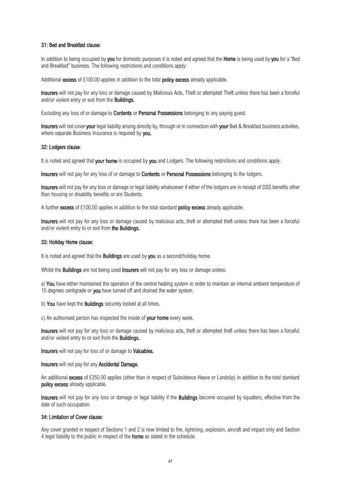#### 31: Bed and Breakfast clause:

In addition to being occupied by you for domestic purposes it is noted and agreed that the Home is being used by you for a "Bed and Breakfast" business. The following restrictions and conditions apply:

Additional excess of £100.00 applies in addition to the total **policy excess** already applicable.

Insurers will not pay for any loss or damage caused by Malicious Acts, Theft or attempted Theft unless there has been a forceful and/or violent entry or exit from the Buildings.

Excluding any loss of or damage to **Contents** or **Personal Possessions** belonging to any paying quest.

Insurers will not cover your legal liability arising directly by, through or in connection with your Bed & Breakfast business activities, where separate Business Insurance is required by you.

#### 32: Lodgers clause:

It is noted and agreed that your home is occupied by you and Lodgers. The following restrictions and conditions apply:

Insurers will not pay for any loss of or damage to **Contents** or **Personal Possessions** belonging to the lodgers.

Insurers will not pay for any loss or damage or legal liability whatsoever if either of the lodgers are in receipt of DSS benefits other than housing or disability benefits or are Students.

A further **excess** of £100.00 applies in addition to the total standard **policy excess** already applicable.

Insurers will not pay for any loss or damage caused by malicious acts, theft or attempted theft unless there has been a forceful and/or violent entry to or exit from the Buildings.

#### 33: Holiday Home clause:

It is noted and agreed that the **Buildings** are used by you as a second/holiday home.

Whilst the **Buildings** are not being used **Insurers** will not pay for any loss or damage unless:

a) You have either maintained the operation of the central heating system in order to maintain an internal ambient temperature of 15 degrees centigrade or you have turned off and drained the water system.

b) You have kept the Buildings securely locked at all times.

c) An authorised person has inspected the inside of your home every week.

Insurers will not pay for any loss or damage caused by malicious acts, theft or attempted theft unless there has been a forceful and/or violent entry to or exit from the **Buildings.** 

Insurers will not pay for loss of or damage to Valuables.

Insurers will not pay for any Accidental Damage.

An additional excess of £250.00 applies (other than in respect of Subsidence Heave or Landslip) in addition to the total standard policy excess already applicable.

Insurers will not pay for any loss or damage or legal liability if the Buildings become occupied by squatters, effective from the date of such occupation.

#### 34: Limitation of Cover clause:

Any cover granted in respect of Sections 1 and 2 is now limited to fire, lightning, explosion, aircraft and impact only and Section 4 legal liability to the public in respect of the **home** as stated in the schedule.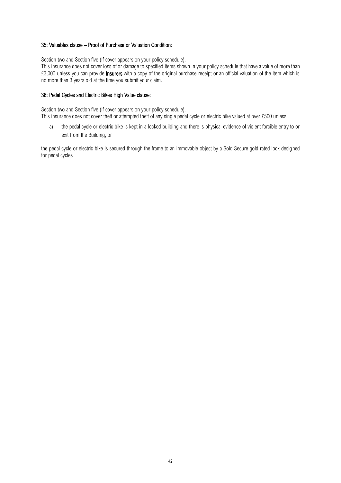## 35: Valuables clause – [Proof of Purchase or Valuation Condition:](file:///C:/Users/Graham/AppData/Local/Microsoft/Windows/Temporary%20Internet%20Files/Content.Outlook/4MAW4HVS/Metropolitan%20Endorsement%20Library.docx%23_25:__Settings)

Section two and Section five (If cover appears on your policy schedule).

This insurance does not cover loss of or damage to specified items shown in your policy schedule that have a value of more than £3,000 unless you can provide **Insurers** with a copy of the original purchase receipt or an official valuation of the item which is no more than 3 years old at the time you submit your claim.

## [36: Pedal Cycles and Electric Bikes High Value clause:](file:///C:/Users/Graham/AppData/Local/Microsoft/Windows/Temporary%20Internet%20Files/Content.Outlook/4MAW4HVS/Metropolitan%20Endorsement%20Library.docx%23_25:__Settings)

Section two and Section five (If cover appears on your policy schedule). This insurance does not cover theft or attempted theft of any single pedal cycle or electric bike valued at over £500 unless:

a) the pedal cycle or electric bike is kept in a locked building and there is physical evidence of violent forcible entry to or exit from the Building, or

the pedal cycle or electric bike is secured through the frame to an immovable object by a Sold Secure gold rated lock designed for pedal cycles